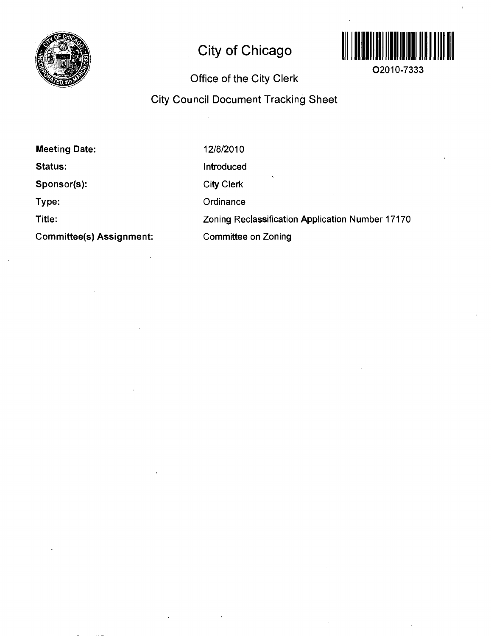

# **City of Chicago**



**02010-7333** 

# **Office of the City Clerk**

# **City Council Document Tracking Sheet**

| <b>Meeting Date:</b>            | 12/8/2010                                        |
|---------------------------------|--------------------------------------------------|
| <b>Status:</b>                  | Introduced                                       |
| Sponsor(s):                     | <b>City Clerk</b>                                |
| Type:                           | Ordinance                                        |
| Title:                          | Zoning Reclassification Application Number 17170 |
| <b>Committee(s) Assignment:</b> | <b>Committee on Zoning</b>                       |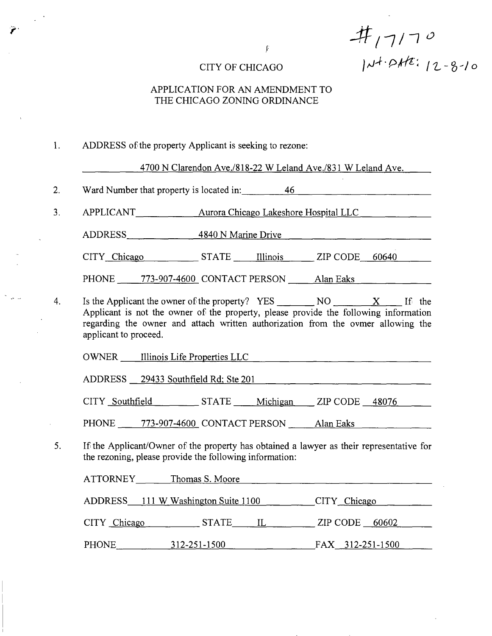$#$ <sub>17</sub>/70  $CITY$  OF CHICAGO  $\mu^+$   $\rho$ *k*<sup>2</sup>;  $12 - 8 - 10$ 

## APPLICATION FOR AN AMENDMENT TO THE CHICAGO ZONING ORDINANCE

1. ADDRESS ofthe property Applicant is seeking to rezone:

4700 N Clarendon Ave./818-22 W Leland Ave./831 W Leland Ave.

2. Ward Number that property is located in: 46\_ 

3. APPLICANT Aurora Chicago Lakeshore Hospital LLC

ADDRESS 4840 N Marine Drive

CITY Chicago STATE Illinois ZIP CODE 60640

PHONE 773-907-4600 CONTACT PERSON Alan Eaks

Is the Applicant the owner of the property?  $YES$  NO  $X$  If the 4. Applicant is not the owner of the property, please provide the following information regarding the owner and attach written authorization from the ovmer allowing the applicant to proceed.

OWNER Illinois Life Properties LLC

ADDRESS 29433 Southfield Rd; Ste 201

CITY Southfield STATE Michigan ZIP CODE 48076

PHONE 773-907-4600 CONTACT PERSON Alan Eaks

5. If the Applicant/Owner of the property has obtained a lawyer as their representative for the rezoning, please provide the following information:

| ATTORNEY     | Thomas S. Moore                     |                  |
|--------------|-------------------------------------|------------------|
|              | ADDRESS 111 W Washington Suite 1100 | CITY Chicago     |
| CITY Chicago | <b>STATE</b><br>$\mathbb{L}$        | $ZIP$ CODE 60602 |
| PHONE        | 312-251-1500                        | FAX 312-251-1500 |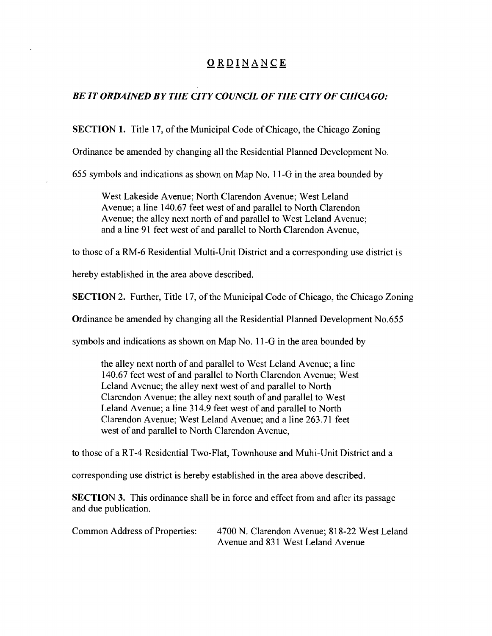# **ORDINANC E**

# *BE IT ORDAINED BY THE CITY COUNCIL OF THE CITY OF CHICA GO:*

SECTION 1. Title 17, of the Municipal Code of Chicago, the Chicago Zoning

Ordinance be amended by changing all the Residential Planned Development No.

655 symbols and indications as shown on Map No. 11-G in the area bounded by

West Lakeside Avenue; North Clarendon Avenue; West Leland Avenue; a line 140.67 feet west of and parallel to North Clarendon Avenue; the alley next north of and parallel to West Leland Avenue; and a line 91 feet west of and parallel to North Clarendon Avenue,

to those of a RM-6 Residential Multi-Unit District and a corresponding use district is

hereby established in the area above described.

SECTION 2. Further, Title 17, of the Municipal Code of Chicago, the Chicago Zoning

Ordinance be amended by changing all the Residential Planned Development No.655

symbols and indications as shown on Map No. 11 -G in the area bounded by

the alley next north of and parallel to West Leland Avenue; a line 140.67 feet west of and parallel to North Clarendon Avenue; West Leland Avenue; the alley next west of and parallel to North Clarendon Avenue; the alley next south of and parallel to West Leland Avenue; a line 314.9 feet west of and parallel to North Clarendon Avenue; West Leland Avenue; and a line 263.71 feet west of and parallel to North Clarendon Avenue,

to those of a RT-4 Residential Two-Flat, Townhouse and Muhi-Unit District and a

corresponding use district is hereby established in the area above described.

SECTION 3. This ordinance shall be in force and effect from and after its passage and due publication.

Common Address of Properties: 4700 N. Clarendon Avenue; 818-22 West Leland Avenue and 831 West Leland Avenue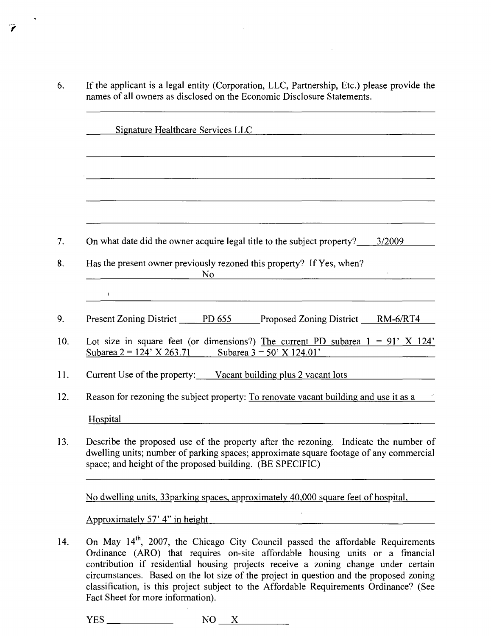6. If the applicant is a legal entity (Corporation, LLC, Partnership, Etc.) please provide the names of all owners as disclosed on the Economic Disclosure Statements.

 $\sim$ 

Ŷ

| <b>Signature Healthcare Services LLC</b><br><u> 1989 - Johann Barbara, martin amerikan basal dan berasal dalam berasal dalam basal dalam basal dalam berasal</u>                                                                                                  |
|-------------------------------------------------------------------------------------------------------------------------------------------------------------------------------------------------------------------------------------------------------------------|
|                                                                                                                                                                                                                                                                   |
|                                                                                                                                                                                                                                                                   |
|                                                                                                                                                                                                                                                                   |
| On what date did the owner acquire legal title to the subject property? ______3/2009_                                                                                                                                                                             |
| Has the present owner previously rezoned this property? If Yes, when?<br>N <sub>o</sub>                                                                                                                                                                           |
|                                                                                                                                                                                                                                                                   |
| Present Zoning District PD 655 Proposed Zoning District RM-6/RT4                                                                                                                                                                                                  |
| Lot size in square feet (or dimensions?) The current PD subarea $1 = 91'$ X 124'<br>Subarea 2 = 124' X 263.71 Subarea 3 = 50' X 124.01'                                                                                                                           |
| Current Use of the property: Vacant building plus 2 vacant lots                                                                                                                                                                                                   |
| Reason for rezoning the subject property: To renovate vacant building and use it as a                                                                                                                                                                             |
| Hospital                                                                                                                                                                                                                                                          |
| Describe the proposed use of the property after the rezoning. Indicate the number of<br>dwelling units; number of parking spaces; approximate square footage of any commercial<br>space; and height of the proposed building. (BE SPECIFIC)                       |
| No dwelling units, 33 parking spaces, approximately 40,000 square feet of hospital,                                                                                                                                                                               |
| Approximately 57' 4" in height                                                                                                                                                                                                                                    |
| On May 14 <sup>th</sup> , 2007, the Chicago City Council passed the affordable Requirements<br>Ordinance (ARO) that requires on-site affordable housing units or a fmancial<br>contribution if residential housing projects receive a zoning change under certain |

circumstances. Based on the lot size of the project in question and the proposed zoning classification, is this project subject to the Affordable Requirements Ordinance? (See Fact Sheet for more information).

 $YES$  NO X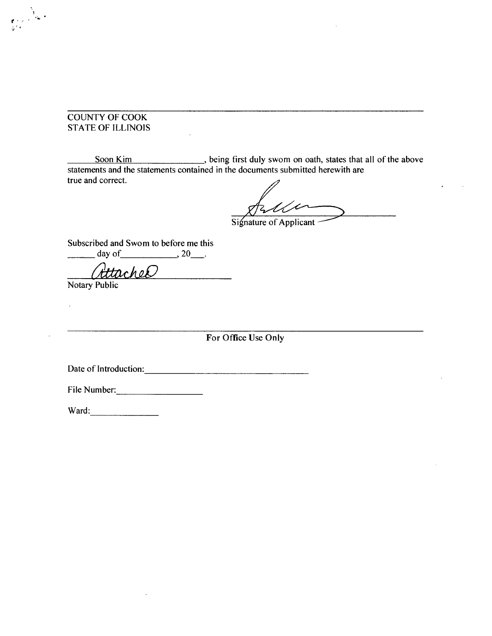#### COUNTY OF COOK STATE OF ILLINOIS

 $\mathcal{L}_{\mathbf{q}}$  .

Soon Kim , being first duly swom on oath, states that all of the above statements and the statements contained in the documents submitted herewith are true and correct.

Signature of Applicant

Subscribed and Swom to before me this  $\frac{day \text{ of } }{x \text{ and } 20}$ .

Attached

Notary Public

**For Office Use Only** 

Date of Introduction:

File Number:

Ward: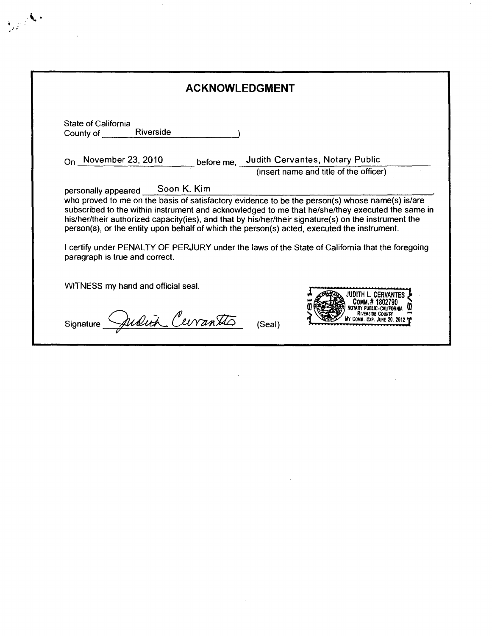| <b>ACKNOWLEDGMENT</b>                                                                                                         |                  |  |                                                                                                                                                                                                                                                                                                                                                                                                                |
|-------------------------------------------------------------------------------------------------------------------------------|------------------|--|----------------------------------------------------------------------------------------------------------------------------------------------------------------------------------------------------------------------------------------------------------------------------------------------------------------------------------------------------------------------------------------------------------------|
| <b>State of California</b><br>County of Riverside                                                                             |                  |  |                                                                                                                                                                                                                                                                                                                                                                                                                |
| $_{\text{On}}$ November 23, 2010                                                                                              |                  |  | before me, Judith Cervantes, Notary Public<br>(insert name and title of the officer)                                                                                                                                                                                                                                                                                                                           |
|                                                                                                                               |                  |  |                                                                                                                                                                                                                                                                                                                                                                                                                |
| person(s), or the entity upon behalf of which the person(s) acted, executed the instrument.<br>paragraph is true and correct. |                  |  | who proved to me on the basis of satisfactory evidence to be the person(s) whose name(s) is/are<br>subscribed to the within instrument and acknowledged to me that he/she/they executed the same in<br>his/her/their authorized capacity(ies), and that by his/her/their signature(s) on the instrument the<br>I certify under PENALTY OF PERJURY under the laws of the State of California that the foregoing |
| WITNESS my hand and official seal.                                                                                            |                  |  |                                                                                                                                                                                                                                                                                                                                                                                                                |
|                                                                                                                               | Judith Cerrantes |  |                                                                                                                                                                                                                                                                                                                                                                                                                |

 $\label{eq:2.1} \frac{1}{\sqrt{2}}\int_{\mathbb{R}^3}\frac{1}{\sqrt{2}}\left(\frac{1}{\sqrt{2}}\right)^2\frac{1}{\sqrt{2}}\left(\frac{1}{\sqrt{2}}\right)^2\frac{1}{\sqrt{2}}\left(\frac{1}{\sqrt{2}}\right)^2\frac{1}{\sqrt{2}}\left(\frac{1}{\sqrt{2}}\right)^2\frac{1}{\sqrt{2}}\left(\frac{1}{\sqrt{2}}\right)^2\frac{1}{\sqrt{2}}\frac{1}{\sqrt{2}}\frac{1}{\sqrt{2}}\frac{1}{\sqrt{2}}\frac{1}{\sqrt{2}}\frac{1}{\sqrt{2}}$ 

 $\label{eq:2.1} \mathcal{L}_{\mathcal{A}}(\mathcal{A}) = \mathcal{L}_{\mathcal{A}}(\mathcal{A}) = \mathcal{L}_{\mathcal{A}}(\mathcal{A})$ 

 $\ddot{\phantom{0}}$ 

 $\mathcal{L}^{\text{max}}_{\text{max}}$ 

 $\sim 10^6$ 

1

 $\label{eq:2} \frac{1}{\sqrt{2}}\left(\frac{1}{\sqrt{2}}\right)^{2} \left(\frac{1}{\sqrt{2}}\right)^{2} \left(\frac{1}{\sqrt{2}}\right)^{2} \left(\frac{1}{\sqrt{2}}\right)^{2} \left(\frac{1}{\sqrt{2}}\right)^{2} \left(\frac{1}{\sqrt{2}}\right)^{2} \left(\frac{1}{\sqrt{2}}\right)^{2} \left(\frac{1}{\sqrt{2}}\right)^{2} \left(\frac{1}{\sqrt{2}}\right)^{2} \left(\frac{1}{\sqrt{2}}\right)^{2} \left(\frac{1}{\sqrt{2}}\right)^{2} \left(\frac{$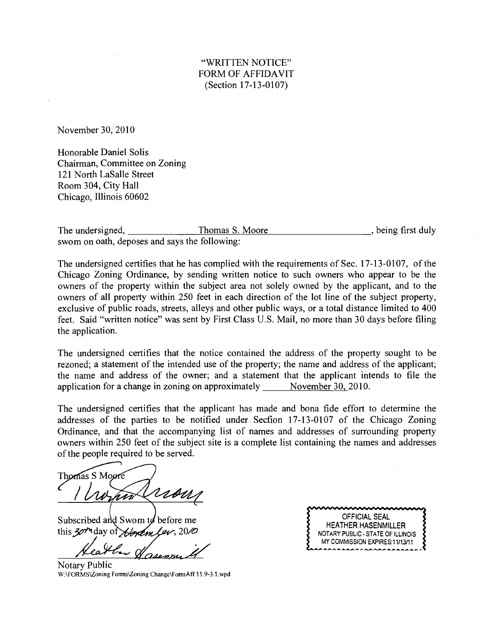November 30, 2010

Honorable Daniel Solis Chairman, Committee on Zoning 121 North LaSalle Street Room 304, City Hall Chicago, Illinois 60602

The undersigned, Thomas S. Moore the state of the undersigned, the ing first duly swom on oath, deposes and says the following:

The undersigned certifies that he has complied with the requirements of Sec. 17-13-0107, of the Chicago Zoning Ordinance, by sending written notice to such owners who appear to be the owners of the property within the subject area not solely owned by the applicant, and to the owners of all property within 250 feet in each direction of the lot line of the subject property, exclusive of public roads, streets, alleys and other public ways, or a total distance limited to 400 feet. Said "written notice" was sent by First Class U.S. Mail, no more than 30 days before filing the application.

The undersigned certifies that the notice contained the address of the property sought to be rezoned; a statement of the intended use of the property; the name and address of the applicant; the name and address of the owner; and a statement that the applicant intends to file the application for a change in zoning on approximately  $\qquad$  November 30, 2010.

The undersigned certifies that the applicant has made and bona fide effort to determine the addresses of the parties to be notified under Secfion 17-13-0107 of the Chicago Zoning Ordinance, and that the accompanying list of names and addresses of surrounding property owners within 250 feet of the subject site is a complete list containing the names and addresses of the people required to be served.

Thomas S Moore rso

Subscribed and Swom to before me this 30<sup>th</sup> day of *Horem Lev*, 20/0

Notary Public W:\FORMS\Zoning Forms\Zoning Change\FomiAff 11.9-3.1 .wpd

OFFICIAL SEAL HEATHER HASENMILLER NOTARY PUBLIC - STATE OF ILLINOIS MY COMMISSION EXPIRES:11/13/11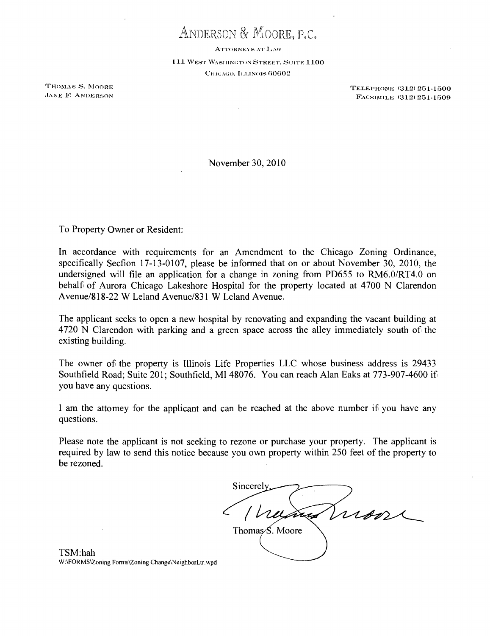ANDERSON & MOORE, P.C.

ATTORNEYS AT LAW

111 WEST WASHINGTON STREET, SUITE 1100 CHICAGO, ILLINOIS 60602

THOMAS S. MOORE<br>
THOMAS S. MOORE<br>
JANE F. ANDERSON<br>
TACSIMITE (312) 251-1500 FACSIMILE (312) 251-1509

November 30, 2010

To Property Owner or Resident:

In accordance with requirements for an Amendment to the Chicago Zoning Ordinance, specifically Secfion 17-13-0107, please be informed that on or about November 30, 2010, the undersigned will file an application for a change in zoning from PD655 to RM6.0/RT4.0 on behalf of Aurora Chicago Lakeshore Hospital for the property located at 4700 N Clarendon Avenue/818-22 W Leland Avenue/831 W Leland Avenue.

The applicant seeks to open a new hospital by renovating and expanding the vacant building at 4720 N Clarendon with parking and a green space across the alley immediately south of the existing building.

The owner of the property is Illinois Life Properties LLC whose business address is 29433 Southfield Road; Suite 201; Southfield, MI 48076. You can reach Alan Eaks at 773-907-4600 if you have any questions.

1 am the attomey for the applicant and can be reached at the above number if you have any questions.

Please note the applicant is not seeking to rezone or purchase your property. The applicant is required by law to send this notice because you own property within 250 feet of the property to be rezoned.

Sincerel mon Thomas<sub>>S</sub>. Moore

TSM:hah W:\FORMS\2oning Fomis\Zoning Change\NeighborLtr.\vpd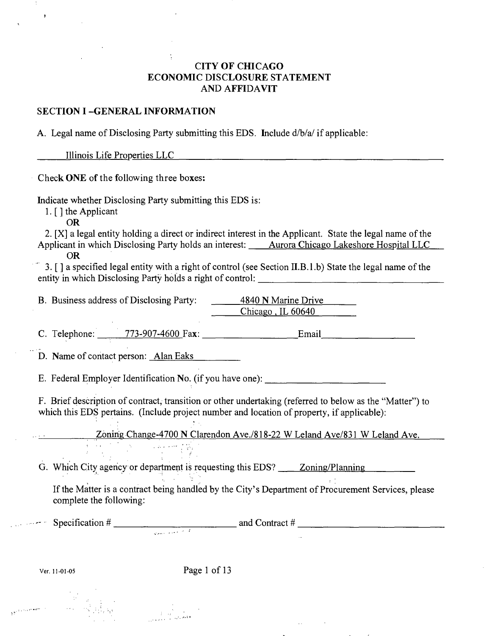# **CITY OF CHICAGO ECONOMIC DISCLOSURE STATEMENT AND AFFIDAVIT**

#### **SECTION I -GENERAL INFORMATION**

A. Legal name of Disclosing Party submitting this EDS. Include d/b/a/ if applicable:

Illinois Life Properties LLC

**Check ONE of the following three boxes:** 

Indicate whether Disclosing Party submitting this EDS is:

1. [ ] the Applicant

OR

2. [X] a legal entity holding a direct or indirect interest in the Applicant. State the legal name of the Applicant in which Disclosing Party holds an interest: Aurora Chicago Lakeshore Hospital LLC

OR

3. [ ] a specified legal enfity with a right of control (see Secfion II.B.l .b) State the legal name of the entity in which Disclosing Party holds a right of control:

B. Business address of Disclosing Party: 4840 N Marine Drive Chicago . IL 60640

C. Telephone: 773-907-4600 Fax: Email Email

D. Name of contact person: Alan Eaks

E. Federal Employer Identification No. (if you have one):

F. Brief description of contract, transifion or other undertaking (referred to below as the "Matter") to which this EDS pertains. (Include project number and location of property, if applicable):

Zoning Change-4700 N Clarendon Ave./818-22 W Leland Ave/831 W Leland Ave.

G. Which City^ agency or department is requesting this EDS? Zoning/Planning

If the Matter is a contract being handled by the City's Department of Procurement Services, please complete the following:

Specification  $\#$  and Contract  $\#$  and Contract  $\#$ 

Ver. 11-01-05 Page 1 of 13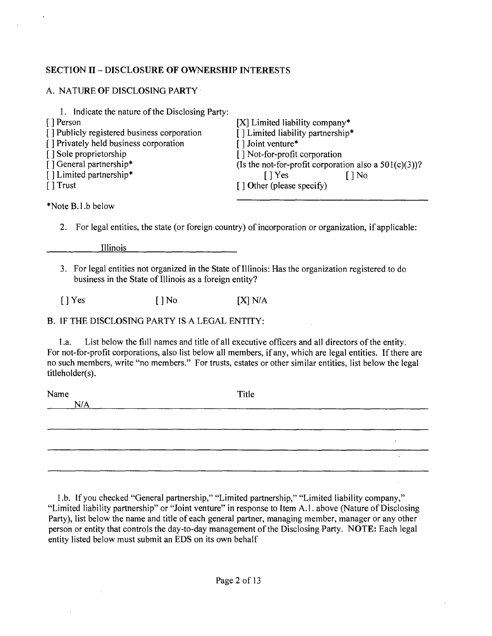# **SECTION II - DISCLOSURE OF OWNERSHIP INTERESTS**

|  |  | A. NATURE OF DISCLOSING PARTY |  |
|--|--|-------------------------------|--|
|--|--|-------------------------------|--|

| 1. Indicate the nature of the Disclosing Party: |                                                          |
|-------------------------------------------------|----------------------------------------------------------|
| [ ] Person                                      | $[X]$ Limited liability company*                         |
| [] Publicly registered business corporation     | [] Limited liability partnership*                        |
| [] Privately held business corporation          | [] Joint venture*                                        |
| [] Sole proprietorship                          | [] Not-for-profit corporation                            |
| [] General partnership*                         | (Is the not-for-profit corporation also a $501(c)(3)$ )? |
| [] Limited partnership*                         | I Yes<br>$\log$                                          |
| $\lceil$ Trust                                  | $\lceil$ 1 Other (please specify)                        |
|                                                 |                                                          |

\*NoteB.l.b below

2. For legal entities, the state (or foreign country) of incorporation or organization, if applicable:

Illinois

3. For legal entities not organized in the State of Illinois: Has the organization registered to do business in the State of Illinois as a foreign entity?

 $[$  | Yes  $[$  | No  $[$   $[X]$  N/A

## B. IF THE DISCLOSING PARTY IS A LEGAL ENTITY:

1 .a. List below the fiill names and title of all executive officers and all directors of the entity. For not-for-profit corporations, also list below all members, if any, which are legal entities. If there are no such members, write "no members." For trusts, estates or other similar entities, list below the legal titleholder(s).

| Name | Title |                 |
|------|-------|-----------------|
| N/A  |       |                 |
|      |       |                 |
|      |       |                 |
|      |       |                 |
|      |       | <b>Contract</b> |
|      |       |                 |

1 .b. If you checked "General partnership," "Limited partnership," "Limited liability company," "Limited liability partnership" or "Joint venture" in response to Item A.l . above (Nature of Disclosing Party), list below the name and title of each general partner, managing member, manager or any other person or entity that controls the day-to-day management of the Disclosing Party. NOTE: Each legal entity listed below must submit an EDS on its own behalf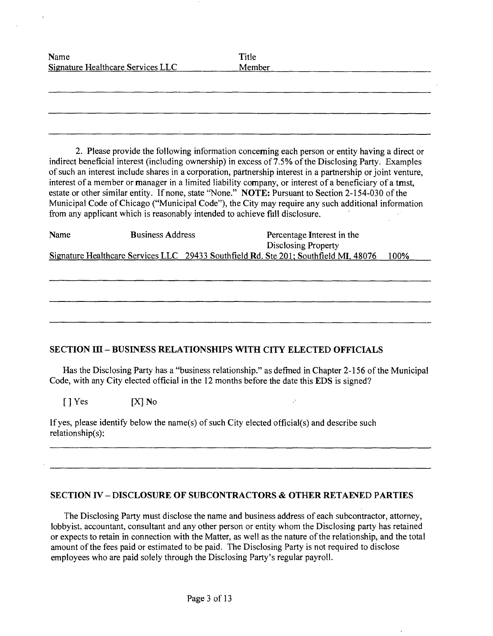| Name<br>Signature Healthcare Services LLC | Title<br>Member |
|-------------------------------------------|-----------------|
|                                           |                 |
|                                           |                 |
|                                           |                 |

2. Please provide the following information conceming each person or entity having a direct or indirect beneficial interest (including ownership) in excess of 7.5% of the Disclosing Party. Examples of such an interest include shares in a corporation, partnership interest in a partnership or joint venture, interest of a member or manager in a limited liability company, or interest of a beneficiary of a tmst, estate or other similar entity. If none, state "None." NOTE: Pursuant to Section 2-154-030 of the Municipal Code of Chicago ("Municipal Code"), the City may require any such additional information from any applicant which is reasonably intended to achieve fiill disclosure.

| Name | <b>Business Address</b>                                                              | Percentage Interest in the |      |
|------|--------------------------------------------------------------------------------------|----------------------------|------|
|      |                                                                                      | Disclosing Property        |      |
|      | Signature Healthcare Services LLC 29433 Southfield Rd. Ste 201; Southfield MI, 48076 |                            | 100% |

## **SECTION III - BUSINESS RELATIONSHIPS WITH CITY ELECTED OFFICIALS**

Has the Disclosing Party has a "business relationship." as defmed in Chapter 2-156 of the Municipal Code, with any City elected official in the 12 months before the date this EDS is signed?

[] Yes [X] No

If yes, please identify below the name(s) of such City elected official(s) and describe such relationship(s):

#### **SECTION IV - DISCLOSURE OF SUBCONTRACTORS & OTHER RETAEVED PARTIES**

The Disclosing Party must disclose the name and business address of each subcontractor, attorney, lobbyist, accountant, consultant and any other person or entity whom the Disclosing party has retained or expects to retain in connection with the Matter, as well as the nature of the relationship, and the total amount ofthe fees paid or estimated to be paid. The Disclosing Party is not required to disclose employees who are paid solely through the Disclosing Party's regular payroll.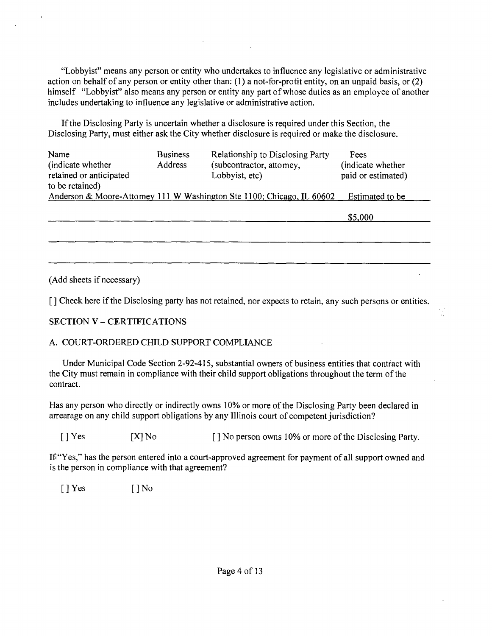"Lobbyist" means any person or entity who undertakes to influence any legislative or administrative action on behalf of any person or entity other than: (1) a not-for-protit entity, on an unpaid basis, or  $(2)$ himself "Lobbyist" also means any person or entity any part of whose duties as an employee of another includes undertaking to influence any legislative or administrative acfion.

If the Disclosing Party is uncertain whether a disclosure is required under this Section, the Disclosing Party, must either ask the City whether disclosure is required or make the disclosure.

| Name                    | <b>Business</b> | <b>Relationship to Disclosing Party</b>                               | Fees               |
|-------------------------|-----------------|-----------------------------------------------------------------------|--------------------|
| (indicate whether)      | <b>Address</b>  | (subcontractor, attomey,                                              | (indicate whether) |
| retained or anticipated |                 | Lobbyist, etc)                                                        | paid or estimated) |
| to be retained)         |                 |                                                                       |                    |
|                         |                 | Anderson & Moore-Attomey 111 W Washington Ste 1100; Chicago, IL 60602 | Estimated to be    |
|                         |                 |                                                                       |                    |

\$5,000 \$5,000

(Add sheets if necessary)

[ ] Check here if the Disclosing party has not retained, nor expects to retain, any such persons or entities.

# **SECTION V - CERTIFICATIONS**

# A. COURT-ORDERED CHILD SUPPORT COMPLIANCE

Under Municipal Code Section 2-92-415, substantial owners of business entities that contract with the City must remain in compliance with their child support obligations throughout the term of the contract.

Has any person who directly or indirectly owns 10% or more of the Disclosing Party been declared in arrearage on any child support obligations by any Illinois court of competent jurisdiction?

[ ] Yes [X] No [ ] No person owns 10% or more of the Disclosing Party.

If "Yes," has the person entered into a court-approved agreement for payment of all support owned and is the person in compliance with that agreement?

 $[$  | Yes  $[$  | No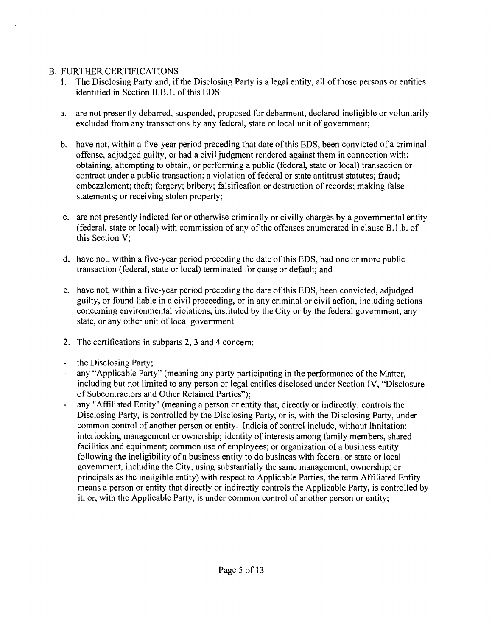# B. FURTHER CERTIFICATIONS

- 1. The Disclosing Party and, ifthe Disclosing Party is a legal entity, all of those persons or entities identified in Section II.B.1. of this EDS:
- a. are not presently debarred, suspended, proposed for debarment, declared ineligible or voluntarily excluded from any transactions by any federal, state or local unit of govemment;
- b. have not, within a five-year period preceding that date of this EDS, been convicted of a criminal offense, adjudged guilty, or had a civil judgment rendered against them in connection with: obtaining, attempting to obtain, or performing a public (federal, state or local) transaction or contract under a public transaction; a violation of federal or state antitrust statutes; fraud; embezzlement; theft; forgery; bribery; falsificafion or destruction of records; making false statements; or receiving stolen property;
- c. are not presently indicted for or otherwise criminally or civilly charges by a govemmental entity (federal, state or local) with commission of any of the offenses enumerated in clause B.1.b. of this Section V;
- d. have not, within a five-year period preceding the date of this EDS, had one or more public transaction (federal, state or local) terminated for cause or default; and
- e. have not, within a five-year period preceding the date of this EDS, been convicted, adjudged guilty, or found liable in a civil proceeding, or in any criminal or civil acfion, including actions conceming environmental violations, instituted by the City or by the federal govemment, any state, or any other unit of local govemment.
- 2. The certifications in subparts 2, 3 and 4 concem:
- the Disclosing Party;  $\omega$
- any "Applicable Party" (meaning any party participating in the performance of the Matter, including but not limited to any person or legal entifies disclosed under Section IV, "Disclosure of Subcontractors and Other Retained Parties");
- any "Affiliated Entity" (meaning a person or entity that, directly or indirectly: controls the Disclosing Party, is controlled by the Disclosing Party, or is, with the Disclosing Party, under common control of another person or entity. Indicia of control include, without Ihnitation: interlocking management or ownership; identity of interests among family members, shared facilities and equipment; common use of employees; or organization of a business entity following the ineligibility of a business entity to do business with federal or state or local govemment, including the City, using substantially the same management, ownership; or principals as the ineligible entity) with respect to Applicable Parties, the term Affiliated Enfity means a person or entity that directly or indirectly controls the Applicable Party, is controlled by it, or, with the Applicable Party, is under common control of another person or entity;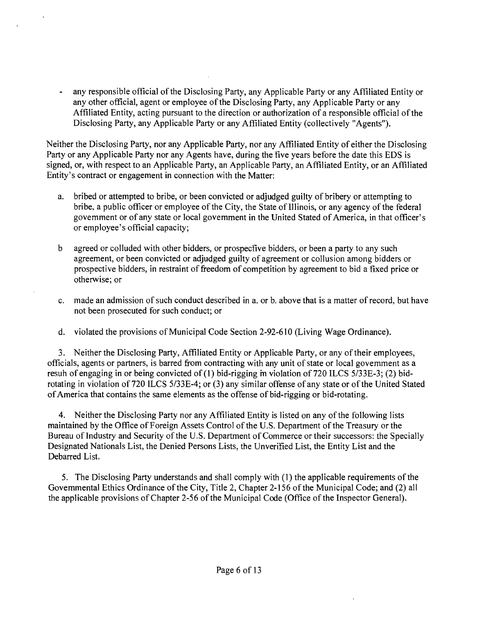any responsible official of the Disclosing Party, any Applicable Party or any Affiliated Entity or any other official, agent or employee of the Disclosing Party, any Applicable Party or any Affiliated Entity, acting pursuant to the direction or authorization of a responsible official of the Disclosing Party, any Applicable Party or any Affiliated Entity (collectively "Agents").

Neither the Disclosing Party, nor any Applicable Party, nor any Affiliated Entity of either the Disclosing Party or any Applicable Party nor any Agents have, during the five years before the date this EDS is signed, or, with respect to an Applicable Party, an Applicable Party, an Affiliated Entity, or an Affiliated Entity's contract or engagement in connection with the Matter:

- a. bribed or attempted to bribe, or been convicted or adjudged guilty of bribery or attempting to bribe, a public officer or employee of the City, the State of Illinois, or any agency of the federal govemment or of any state or local govemment in the United Stated of America, in that officer's or employee's official capacity;
- b agreed or colluded with other bidders, or prospecfive bidders, or been a party to any such agreement, or been convicted or adjudged guilty of agreement or collusion among bidders or prospective bidders, in restraint of freedom of competition by agreement to bid a fixed price or otherwise; or
- c. made an admission of such conduct described in a. or b. above that is a matter of record, but have not been prosecuted for such conduct; or
- d. violated the provisions of Municipal Code Section 2-92-610 (Living Wage Ordinance).

3. Neither the Disclosing Party, Affiliated Entity or Applicable Party, or any of their employees, officials, agents or partners, is barred from contracting with any unit of state or local govemment as a resuh of engaging in or being convicted of (1) bid-rigging m violation of 720 ILCS 5/33E-3; (2) bidrotating in violation of 720 ILCS 5/33E-4; or (3) any similar offense of any state or of the United Stated of America that contains the same elements as the offense of bid-rigging or bid-rotating.

4. Neither the Disclosing Party nor any Affiliated Entity is listed on any of the following lists maintained by the Office of Foreign Assets Control of the U.S. Department of the Treasury or the Bureau of Industry and Security of the U.S. Department of Commerce or their successors: the Specially Designated Nationals List, the Denied Persons Lists, the Unverified List, the Entity List and the Debarred List.

5. The Disclosing Party understands and shall comply with (1) the applicable requirements of the Govemmental Ethics Ordinance of the City, Title 2, Chapter 2-156 of the Municipal Code; and (2) all the applicable provisions of Chapter 2-56 of the Municipal Code (Office of the Inspector General).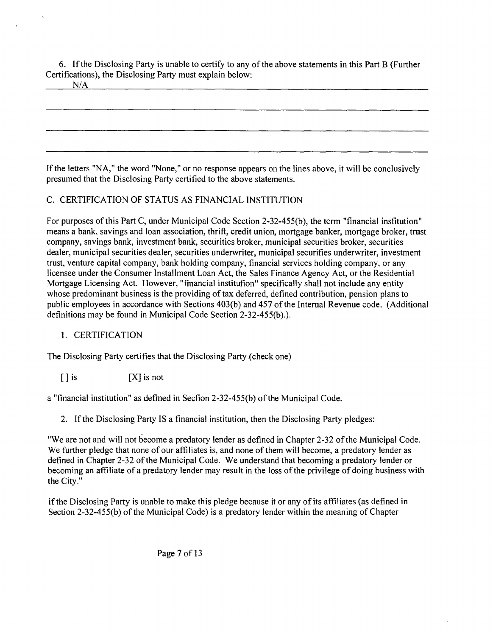6. If the Disclosing Party is unable to certify to any ofthe above statements in this Part B (Further Certifications), the Disclosing Party must explain below:

N/A

Ifthe letters "NA," the word "None," or no response appears on the lines above, it will be conclusively presumed that the Disclosing Party certified to the above statements.

# C. CERTIFICATION OF STATUS AS FINANCIAL INSTITUTION

For purposes of this Part C, under Municipal Code Section 2-32-455(b), the term "financial insfitution" means a bank, savings and loan association, thrift, credit union, mortgage banker, mortgage broker, tmst company, savings bank, investment bank, securities broker, municipal securities broker, securities dealer, municipal securities dealer, securities underwriter, municipal securifies underwriter, investment trust, venture capital company, bank holding company, financial services holding company, or any licensee under the Consumer Installment Loan Act, the Sales Finance Agency Act, or the Residential Mortgage Licensing Act. However, "fmancial institufion" specifically shall not include any entity whose predominant business is the providing of tax deferred, defined contribution, pension plans to public employees in accordance with Sections 403(b) and 457 of the Internal Revenue code. (Additional definitions may be found in Municipal Code Section 2-32-455(b).).

# 1. CERTIFICATION

The Disclosing Party certifies that the Disclosing Party (check one)

 $[ ]$  is  $[ X ]$  is not

a "fmancial institution" as defmed in Secfion 2-32-455(b) of the Municipal Code.

2. Ifthe Disclosing Party IS a financial institution, then the Disclosing Party pledges:

"We are not and will not become a predatory lender as defined in Chapter 2-32 of the Municipal Code, We further pledge that none of our affiliates is, and none of them will become, a predatory lender as defined in Chapter 2-32 ofthe Municipal Code. We understand that becoming a predatory lender or becoming an affiliate of a predatory lender may result in the loss of the privilege of doing business with the City."

ifthe Disclosing Party is unable to make this pledge because it or any of its affiliates (as defined in Section 2-32-455(b) of the Municipal Code) is a predatory lender within the meaning of Chapter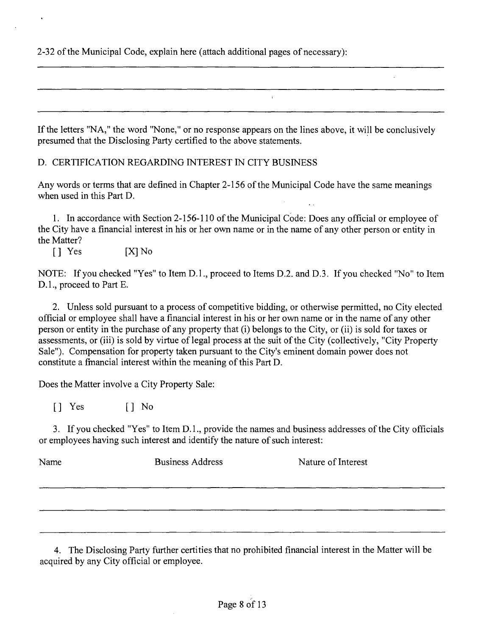2-32 of the Municipal Code, explain here (attach addifional pages of necessary):

If the letters "NA," the word "None," or no response appears on the lines above, it will be conclusively presumed that the Disclosing Party certified to the above statements.

D, CERTIFICATION REGARDING INTEREST IN CITY BUSINESS

Any words or terms that are defined in Chapter 2-156 of the Municipal Code have the same meanings when used in this Part D.

1. In accordance with Section 2-156-110 of the Municipal Code: Does any official or employee of the City have a financial interest in his or her own name or in the name of any other person or entity in the Matter?

[] Yes [X]No

NOTE: If you checked "Yes" to Item D.l., proceed to Items D.2. and D.3, If you checked "No" to Item D.1., proceed to Part E.

2. Unless sold pursuant to a process of competitive bidding, or otherwise permitted, no City elected official or employee shall have a financial interest in his or her own name or in the name of any other person or entity in the purchase of any property that (i) belongs to the City, or (ii) is sold for taxes or assessments, or (iii) is sold by virtue of legal process at the suit of the City (collectively, "City Property Sale"). Compensation for property taken pursuant to the City's eminent domain power does not constitute a fmancial interest within the meaning of this Part D,

Does the Matter involve a City Property Sale:

[] Yes [] No

3. If you checked "Yes" to Item D. 1., provide the names and business addresses of the City officials or employees having such interest and identify the nature of such interest:

Name Business Address Nature of Interest

4. The Disclosing Party further certifies that no prohibited financial interest in the Matter will be acquired by any City official or employee.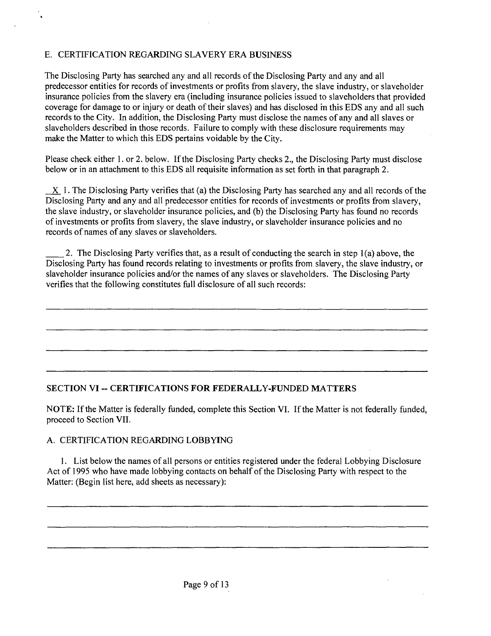# E. CERTIFICATION REGARDING SLAVERY ERA BUSINESS

The Disclosing Party has searched any and all records of the Disclosing Party and any and all predecessor entities for records of investments or profits from slavery, the slave industry, or slaveholder insurance policies from the slavery era (including insurance policies issued to slaveholders that provided coverage for damage to or injury or death of their slaves) and has disclosed m this EDS any and all such records to the City. In addition, the Disclosing Party must disclose the names of any and all slaves or slaveholders described in those records. Failure to comply with these disclosure requirements may make the Matter to which this EDS pertains voidable by the City.

Please check either 1. or 2. below. If the Disclosing Party checks 2, the Disclosing Party must disclose below or in an attachment to this EDS all requisite information as set forth in that paragraph 2.

X 1. The Disclosing Party verifies that (a) the Disclosing Party has searched any and all records of the Disclosing Party and any and all predecessor entities for records of investments or profits from slavery, the slave industry, or slaveholder insurance policies, and (b) the Disclosing Party has found no records of investments or profits from slavery, the slave industry, or slaveholder insurance policies and no records of names of any slaves or slaveholders.

2. The Disclosing Party verifies that, as a result of conducting the search in step 1(a) above, the Disclosing Party has found records relating to investments or profits from slavery, the slave industry, or slaveholder insurance policies and/or the names of any slaves or slaveholders. The Disclosing Party verifies that the following constitutes full disclosure of all such records:

## **SECTION VI ~ CERTIFICATIONS FOR FEDERALLY-FUNDED MATTERS**

NOTE: If the Matter is federally funded, complete this Section VI. If the Matter is not federally funded, proceed to Section VII.

#### A. CERTIFICATION REGARDING LOBBYING

1. List below the names of all persons or entities registered under the federal Lobbying Disclosure Act of 1995 who have made lobbying contacts on behalf of the Disclosing Party with respect to the Matter: (Begin list here, add sheets as necessary):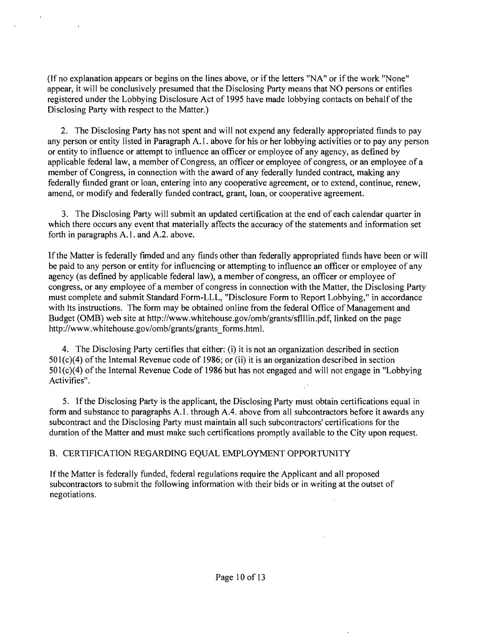(If no explanation appears or begins on the lines above, or if the letters "NA" or if the work "None" appear, it will be conclusively presumed that the Disclosing Party means that NO persons or entifies registered under the Lobbying Disclosure Act of 1995 have made lobbying contacts on behalf of the Disclosing Party with respect to the Matter.)

2. The Disclosing Party has not spent and will not expend any federally appropriated fiinds to pay any person or entity listed in Paragraph A.l . above for his or her lobbying activities or to pay any person or entity to influence or attempt to influence an officer or employee of any agency, as defined by applicable federal law, a member of Congress, an officer or employee of congress, or an employee of a member of Congress, in connection with the award of any federally handed contract, making any federally fiinded grant or loan, entering into any cooperative agreement, or to extend, continue, renew, amend, or modify and federally funded contract, grant, loan, or cooperative agreement.

3. The Disclosing Party will submit an updated certification at the end of each calendar quarter in which there occurs any event that materially affects the accuracy of the statements and information set forth in paragraphs A.l . and A.2. above.

If the Matter is federally fimded and any fiinds other than federally appropriated fiinds have been or will be paid to any person or entity for influencing or attempting to influence an officer or employee of any agency (as defined by applicable federal law), a member of congress, an officer or employee of congress, or any employee of a member of congress in connection with the Matter, the Disclosing Party must complete and submit Standard Form-LLL, "Disclosure Form to Report Lobbying," in accordance with Its instructions. The form may be obtained online from the federal Office of Management and Budget (0MB) web site at http://www.whitehouse.gov/omb/grants/sflllin.pdf, linked on the page http://www.whitehouse.gov/omb/grants/grants\_forms.html.

4. The Disclosing Party certifies that either: (i) it is not an organization described in section  $501(c)(4)$  of the Intemal Revenue code of 1986; or (ii) it is an organization described in section 501(c)(4) of the Internal Revenue Code of 1986 but has not engaged and will not engage in "Lobbying Activifies".

5. If the Disclosing Party is the applicant, the Disclosing Party must obtain certifications equal in form and substance to paragraphs A.l . through A.4. above from all subcontractors before it awards any subcontract and the Disclosing Party must maintain all such subcontractors' certifications for the duration of the Matter and must make such certifications promptly available to the City upon request.

## B. CERTIFICATION REGARDING EQUAL EMPLOYMENT OPPORTUNITY

If the Matter is federally funded, federal regulations require the Applicant and all proposed subcontractors to submit the following information with their bids or in writing at the outset of negotiations.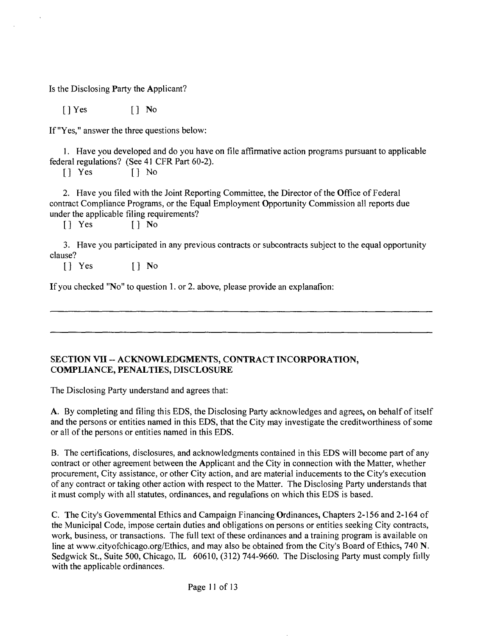Is the Disclosing Party the Applicant?

[]Yes [] No

If "Yes," answer the three questions below:

1. Have you developed and do you have on file affirmative action programs pursuant to applicable federal regulations? (See 41 CFR Part 60-2).

[] Yes [] No

2. Have you filed with the Joint Reporting Committee, the Director of the Office of Federal contract Compliance Programs, or the Equal Employment Opportunity Commission all reports due under the applicable filing requirements?

[] Yes [] No

3. Have you participated in any previous contracts or subcontracts subject to the equal opportunity clause?

[] Yes [] No

If you checked "No" to question 1. or 2. above, please provide an explanafion:

#### SECTION VII -- ACKNOWLEDGMENTS, CONTRACT INCORPORATION, **COMPLIANCE, PENALTIES, DISCLOSURE**

The Disclosing Party understand and agrees that:

A. By completing and filing this EDS, the Disclosing Party acknowledges and agrees, on behalf of itself and the persons or entities named in this EDS, that the City may investigate the creditworthiness of some or all of the persons or entities named in this EDS.

B. The certifications, disclosures, and acknowledgments contained in this EDS will become part of any contract or other agreement between the Applicant and the City in connection with the Matter, whether procurement. City assistance, or other City action, and are material inducements to the City's execution of any contract or taking other action with respect to the Matter. The Disclosing Party understands that it must comply with all statutes, ordinances, and regulafions on which this EDS is based.

C. The City's Govemmental Ethics and Campaign Financing Ordinances, Chapters 2-156 and 2-164 of the Municipal Code, impose certain duties and obligations on persons or entities seeking City contracts, work, business, or transactions. The full text of these ordinances and a training program is available on line at www.cityofchicago.org/Ethics, and may also be obtained from the City's Board of Ethics, 740 N. Sedgwick St., Suite 500, Chicago, IL 60610, (312) 744-9660. The Disclosing Party must comply fiilly with the applicable ordinances.

Page 11 of 13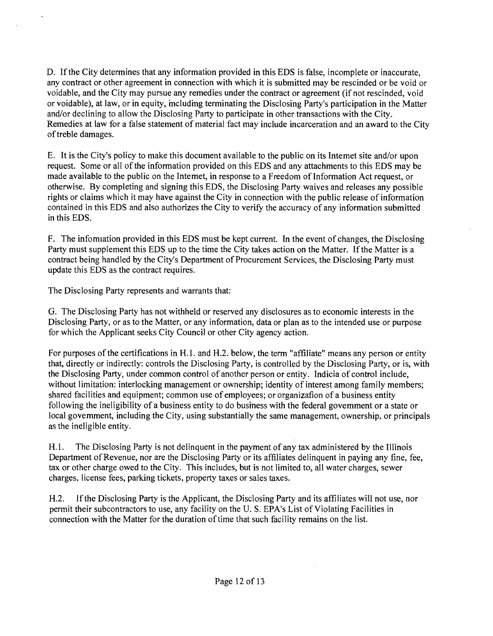D. If the City determines that any information provided in this EDS is false, incomplete or inaccurate, any contract or other agreement in connection with which it is submitted may be rescinded or be void or voidable, and the City may pursue any remedies under the contract or agreement (if not rescinded, void or voidable), at law, or in equity, mcludmg terminating the Disclosing Party's participation in the Matter and/or declining to allow the Disclosing Party to participate in other transactions with the City. Remedies at law for a false statement of material fact may include incarceration and an award to the City of treble damages.

E. It is the City's policy to make this document available to the public on its Intemet site and/or upon request. Some or all of the information provided on this EDS and any attachments to this EDS may be made available to the public on the Intemet, in response to a Freedom of Information Act request, or otherwise. By completing and signing this EDS, the Disclosing Party waives and releases any possible rights or claims which it may have against the City in connection with the public release of information contained in this EDS and also authorizes the City to verify the accuracy of any information submitted in this EDS.

F. The infomiation provided in this EDS must be kept current. In the event of changes, the Disclosing Party must supplement this EDS up to the time the City takes action on the Matter. If the Matter is a contract being handled by the City's Department of Procurement Services, the Disclosing Party must update this EDS as the contract requires.

The Disclosing Party represents and warrants that:

G. The Disclosing Party has not withheld or reserved any disclosures as to economic interests in the Disclosing Party, or as to the Matter, or any information, data or plan as to the intended use or purpose for which the Applicant seeks City Council or other City agency action.

For purposes of the certifications in H.l . and H.2. below, the term "affiliate" means any person or entity that, direcfiy or indirectly: controls the Disclosing Party, is controlled by the Disclosing Party, or is, with the Disclosing Party, under common confrol of another person or entity. Indicia of confrol include, without limitation: interlocking management or ownership; identity of interest among family members; shared facilities and equipment; common use of employees; or organizafion of a business entity following the ineligibility of a business entity to do busmess with the federal govemment or a state or local govemment, including the City, using substantially the same management, ownership, or principals as the ineligible entity.

H. l. The Disclosing Party is not delinguent in the payment of any tax administered by the Illinois Department of Revenue, nor are the Disclosing Party or its affiliates delinquent in paying any fine, fee, tax or other charge owed to the City. This includes, but is not limited to, all water charges, sewer charges, license fees, parking tickets, property taxes or sales taxes.

H.2. If the Disclosing Party is the Applicant, the Disclosing Party and its affiliates will not use, nor permit their subcontractors to use, any facility on the U. S. EPA's List of Violating Facilities in connection with the Matter for the duration of time that such facility remains on the list.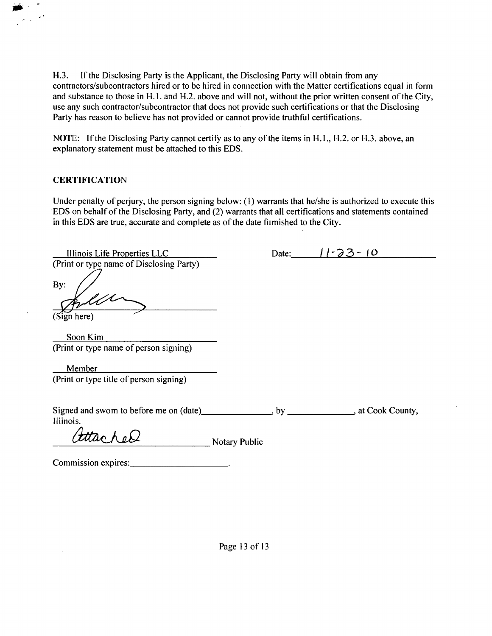H.3. If the Disclosing Party is the Applicant, the Disclosing Party will obtain from any confractors/subcontractors hired or to be hired in connection with the Matter certifications equal in form and substance to those in H. I. and H.2. above and will not, without the prior written consent of the City, use any such contractor/subcontractor that does not provide such certifications or that the Disclosing Party has reason to believe has not provided or cannot provide truthful certifications.

NOTE: If the Disclosing Party cannot certify as to any of the items in H.1., H.2. or H.3. above, an explanatory statement must be attached to this EDS.

#### **CERTIFICATION**

 $\mathcal{L}_{\mathcal{A}}$ 

Under penalty of perjury, the person signing below: (1) warrants that he/she is authorized to execute this EDS on behalf of the Disclosing Party, and (2) warrants that all certifications and statements contained in this EDS are true, accurate and complete as of the date fiimished to the City.

| Illinois Life Properties LLC                        |               | Date: | $-23$<br>$\overline{1}$                                   |
|-----------------------------------------------------|---------------|-------|-----------------------------------------------------------|
| (Print or type name of Disclosing Party)            |               |       |                                                           |
| By:                                                 |               |       |                                                           |
| (Sign here)                                         |               |       |                                                           |
| Soon Kim                                            |               |       |                                                           |
| (Print or type name of person signing)              |               |       |                                                           |
| Member                                              |               |       |                                                           |
| (Print or type title of person signing)             |               |       |                                                           |
|                                                     |               |       |                                                           |
| Signed and swom to before me on (date)<br>Iliinois. |               |       | $\rightarrow$ by _______________________, at Cook County, |
|                                                     | Notary Public |       |                                                           |
| Commission expires:                                 |               |       |                                                           |
|                                                     |               |       |                                                           |

Page 13 of 13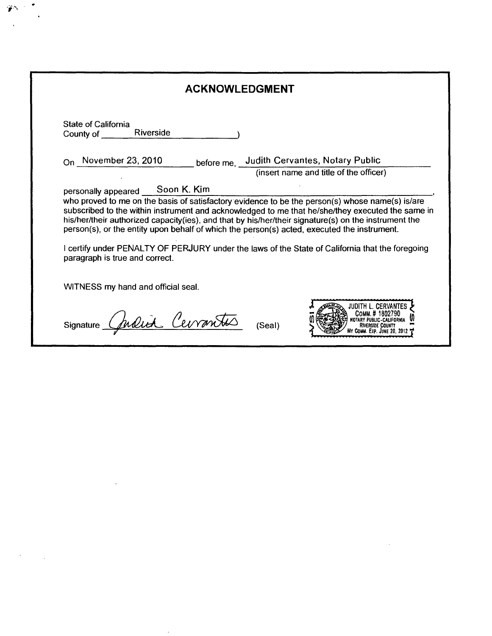| <b>ACKNOWLEDGMENT</b>                                                                                                                                            |                                                                                                                                                                                                                                                                                                                                                                                                                |  |
|------------------------------------------------------------------------------------------------------------------------------------------------------------------|----------------------------------------------------------------------------------------------------------------------------------------------------------------------------------------------------------------------------------------------------------------------------------------------------------------------------------------------------------------------------------------------------------------|--|
| <b>State of California</b>                                                                                                                                       |                                                                                                                                                                                                                                                                                                                                                                                                                |  |
| $_{\text{On}}$ November 23, 2010                                                                                                                                 | before me, Judith Cervantes, Notary Public<br>(insert name and title of the officer)                                                                                                                                                                                                                                                                                                                           |  |
| personally appeared Soon K. Kim<br>person(s), or the entity upon behalf of which the person(s) acted, executed the instrument.<br>paragraph is true and correct. | who proved to me on the basis of satisfactory evidence to be the person(s) whose name(s) is/are<br>subscribed to the within instrument and acknowledged to me that he/she/they executed the same in<br>his/her/their authorized capacity(ies), and that by his/her/their signature(s) on the instrument the<br>I certify under PENALTY OF PERJURY under the laws of the State of California that the foregoing |  |
| WITNESS my hand and official seal.                                                                                                                               |                                                                                                                                                                                                                                                                                                                                                                                                                |  |
| Judich Cerran<br>Signature _                                                                                                                                     | (Seal)                                                                                                                                                                                                                                                                                                                                                                                                         |  |

 $\label{eq:2.1} \mathcal{L}(\mathcal{L}^{\text{max}}_{\mathcal{L}}(\mathcal{L}^{\text{max}}_{\mathcal{L}}),\mathcal{L}^{\text{max}}_{\mathcal{L}}(\mathcal{L}^{\text{max}}_{\mathcal{L}}))$ 

 $\mathcal{L}^{\text{max}}_{\text{max}}$  and  $\mathcal{L}^{\text{max}}_{\text{max}}$ 

 $\mathcal{L}^{\text{max}}_{\text{max}}$ 

 $\mathcal{L}$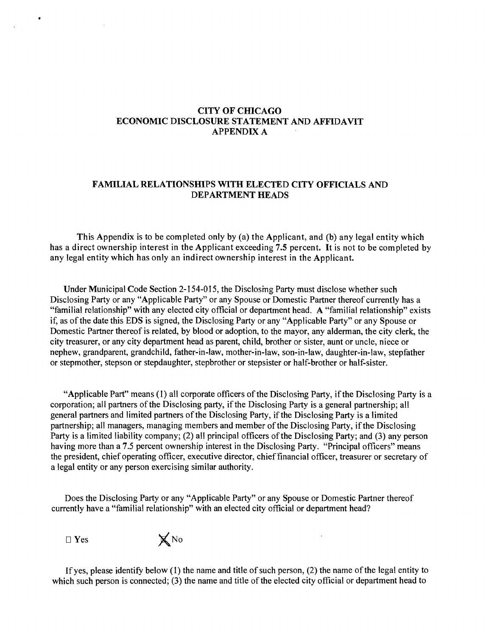#### **CITY OF CfflCAGO ECONOMIC DISCLOSURE STATEMENT AND AFFIDAVIT APPENDIX A**

#### **FAMILIAL RELATIONSHIPS WITH ELECTED CITY OFFICIALS AND DEPARTMENT HEADS**

**This Appendix is to be completed only by (a) the Applicant, and (b) any legal entity which has a direct ownership interest in the Applicant exceeding 7.5 percent. It is not to be completed by any legal entity which has only an indirect ownership interest in the Applicant.** 

Under Municipal Code Section 2-154-015, the Disclosmg Party must disclose whether such Disclosing Party or any "Applicable Party" or any Spouse or Domestic Partner thereof currently has a "familial relationship" with any elected city official or department head. A "familial relationship" exists if, as of the date this EDS is signed, the Disclosing Party or any "Applicable Party" or any Spouse or Domestic Partner thereof is related, by blood or adoption, to the mayor, any alderman, the city clerk, the city treasurer, or any city department head as parent, child, brother or sister, aunt or uncle, niece or nephew, grandparent, grandchild, father-in-law, mother-in-law, son-in-law, daughter-in-law, stepfather or stepmother, stepson or stepdaughter, stepbrother or stepsister or half-brother or half-sister.

"Applicable Part" means (1) all corporate officers of the Disclosmg Party, if the Disclosing Party is a corporation; all partners of the Disclosing party, if the Disclosing Party is a general partnership; all general partners and limited partners of the Disclosing Party, if the Disclosing Party is a limited partnership; all managers, managing members and member of the Disclosing Party, if the Disclosing Party is a limited liability company; (2) all principal officers of the Disclosing Party; and (3) any person having more than a 7.5 percent ownership interest in the Disclosing Party. "Principal officers" means the president, chief operating officer, executive director, chief financial officer, treasurer or secretary of a legal entity or any person exercising similar authority.

Does the Disclosing Party or any "Applicable Party" or any Spouse or Domestic Partner thereof currently have a "familial relationship" with an elected city official or department head?

 $\Box$  Yes  $\boxtimes$  No



If yes, please identify below (1) the name and title of such person, (2) the name of the legal entity to which such person is connected; (3) the name and title of the elected city official or department head to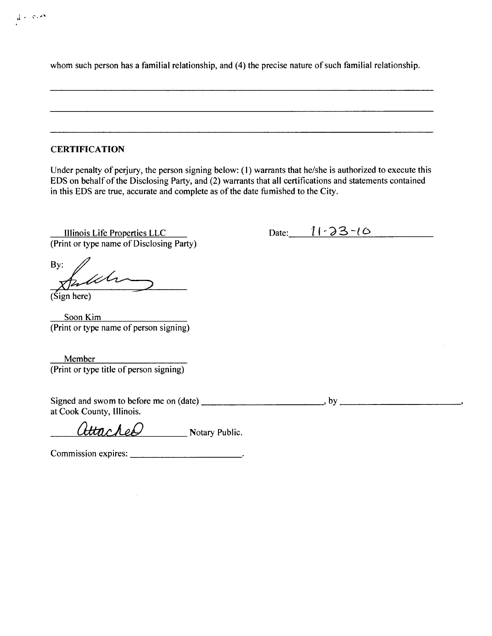whom such person has a familial relationship, and (4) the precise nature of such familial relationship.

#### **CERTIFICATION**

 $\mathcal{A} \leftarrow \mathcal{B} \times \mathcal{B}$ 

Under penalty of perjury, the person signing below: (1) warrants that he/she is authorized to execute this EDS on behalf of the Disclosing Party, and (2) warrants that all certifications and statements contained in this EDS are true, accurate and complete as of the date fumished to the City.

Illinois Life Properties LLC Date:  $11-33-10$ (Print or type name of Disclosing Party)

By: uh

(Sign here)

Soon Kim (Print or type name of person signing)

Member (Print or type title of person signing)

Signed and swom to before me on  $(data)$  ,  $b$ y ,  $b$  ,  $b$  ,  $b$  ,  $b$  ,  $b$  ,  $b$  ,  $b$  ,  $b$  ,  $b$  ,  $b$  ,  $b$  ,  $b$  ,  $b$  ,  $b$  ,  $b$  ,  $b$  ,  $b$  ,  $b$  ,  $b$  ,  $b$  ,  $b$  ,  $b$  ,  $b$  ,  $b$  ,  $b$  ,  $b$  ,  $b$  ,  $c$  ,  $c$  , at Cook County, Illinois.

attacher Notary Public.

Commission expires: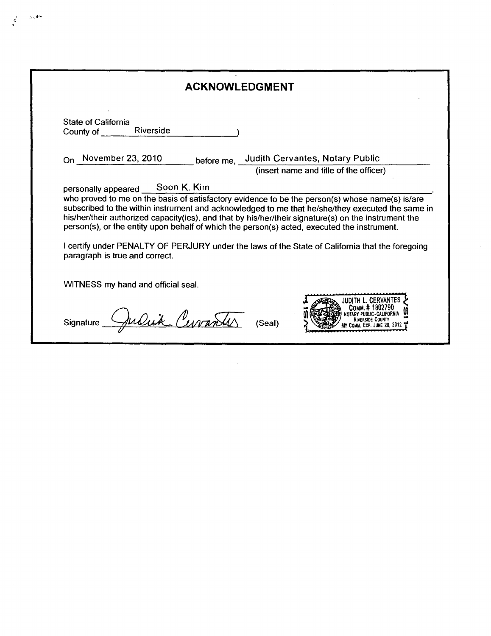| <b>ACKNOWLEDGMENT</b>                                                                                                                                                                                                                                                                                                                                                                                                                        |
|----------------------------------------------------------------------------------------------------------------------------------------------------------------------------------------------------------------------------------------------------------------------------------------------------------------------------------------------------------------------------------------------------------------------------------------------|
| State of California<br>Riverside<br>County of                                                                                                                                                                                                                                                                                                                                                                                                |
| On November 23, 2010<br>before me, Judith Cervantes, Notary Public                                                                                                                                                                                                                                                                                                                                                                           |
| (insert name and title of the officer)                                                                                                                                                                                                                                                                                                                                                                                                       |
| subscribed to the within instrument and acknowledged to me that he/she/they executed the same in<br>his/her/their authorized capacity(ies), and that by his/her/their signature(s) on the instrument the<br>person(s), or the entity upon behalf of which the person(s) acted, executed the instrument.<br>I certify under PENALTY OF PERJURY under the laws of the State of California that the foregoing<br>paragraph is true and correct. |
| WITNESS my hand and official seal.                                                                                                                                                                                                                                                                                                                                                                                                           |
| Signature<br>(Seal)                                                                                                                                                                                                                                                                                                                                                                                                                          |

 $\mathcal{L}^{\text{max}}_{\text{max}}$  , where  $\mathcal{L}^{\text{max}}_{\text{max}}$ 

 $\sim 10$ 

 $\vec{\epsilon}$ 

 $\sim$ 

 $\sim$ 

 $\label{eq:2.1} \frac{1}{\sqrt{2}}\int_{\mathbb{R}^3}\frac{1}{\sqrt{2}}\left(\frac{1}{\sqrt{2}}\right)^2\frac{1}{\sqrt{2}}\left(\frac{1}{\sqrt{2}}\right)^2\frac{1}{\sqrt{2}}\left(\frac{1}{\sqrt{2}}\right)^2.$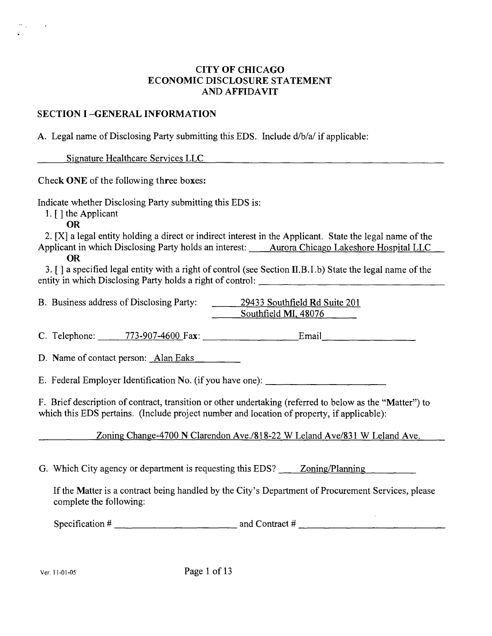# **CITY OF CHICAGO ECONOMIC DISCLOSURE STATEMENT AND AFFIDAVIT**

# **SECTION I -GENERAL INFORMATION**

A. Legal name of Disclosing Party submitting this EDS. Include d/b/a/ if applicable:

Signature Healthcare Services LLC

**Check ONE of the following three boxes:** 

Indicate whether Disclosing Party submitting this EDS is:

1. [ ] the Applicant

OR

2. [X] a legal entity holding a direct or indirect interest in the Applicant. State the legal name of the Applicant in which Disclosing Party holds an interest: Aurora Chicago Lakeshore Hospital LLC

OR

3. [ ] a specified legal enfity with a right of control (see Secfion II.B.l.b) State the legal name of the entity in which Disclosing Party holds a right of control:

B. Business address of Disclosing Party: 29433 Southfield Rd Suite 201

Southfield MI, 48076 Southfield MI. 48076

C. Telephone: 773-907-4600 Fax: Email Email Email Email Email Email Email Email Email Email Email Email Email

D. Name of contact person: Alan Eaks  $\overline{A}$  and contact persons of contact persons of contact persons of contact persons of contact persons of contact persons of contact persons of contact persons of contact persons of contact persons of contact persons of

E. Federal Employer Identification No. (if you have one):

F. Brief descripfion of contract, transifion or other undertaking (referred to below as the "Matter") to which this EDS pertains. (Include project number and location of property, if applicable):

Zoning Change-4700 N Clarendon Ave./818-22 W Leland Ave/831 W Leland Ave.

G. Which City agency or department is requesfing this EDS? Zoning/Planning

If the Matter is a contract being handled by the City's Department of Procurement Services, please complete the following:

Specification  $\#$   $\qquad \qquad$  and Contract  $\#$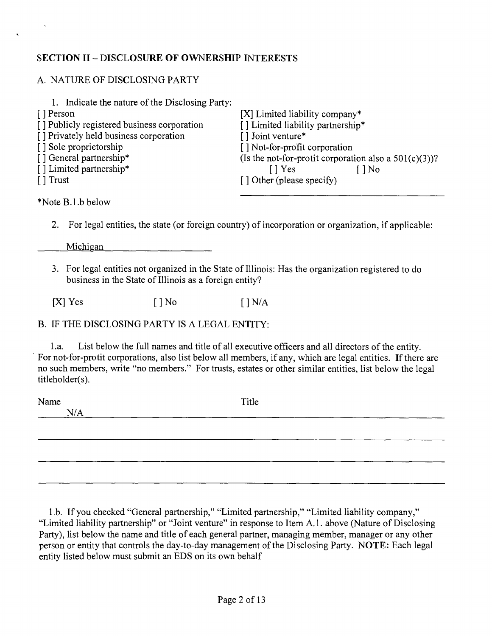# **SECTION II - DISCLOSURE OF OWNERSHIP INTERESTS**

# A. NATURE OF DISCLOSING PARTY

| 1. Indicate the nature of the Disclosing Party: |                                                          |
|-------------------------------------------------|----------------------------------------------------------|
| [ ] Person                                      | [X] Limited liability company*                           |
| [] Publicly registered business corporation     | [] Limited liability partnership*                        |
| [] Privately held business corporation          | [] Joint venture*                                        |
| [] Sole proprietorship                          | [] Not-for-profit corporation                            |
| [] General partnership*                         | (Is the not-for-protit corporation also a $501(c)(3)$ )? |
| [] Limited partnership*                         | $\lceil \cdot \rceil$ Yes<br>$ $ No                      |
| $\lceil \cdot \rceil$ Trust                     | [] Other (please specify)                                |
|                                                 |                                                          |
| 437. T.III                                      |                                                          |

\*Note B.l.b below

2. For legal entities, the state (or foreign country) of incorporation or organization, if applicable:

Michigan

3. For legal enfities not organized in the State of Illinois: Has the organization registered to do business in the State of Illinois as a foreign entity?

 $[X]$  Yes  $[ ]$  No  $[ ]$  N/A

B. IF THE DISCLOSING PARTY IS A LEGAL ENTITY:

1 .a. List below the full names and title of all executive officers and all directors of the entity. For not-for-protit corporations, also list below all members, if any, which are legal entities. If there are no such members, write "no members." For trusts, estates or other similar entities, list below the legal titleholder(s).

Name Title N/A

1 .b. If you checked "General partnership," "Limited partnership," "Limited liability company," "Limited liability partnership" or "Joint venture" in response to Item A.l . above (Nature of Disclosing Party), list below the name and title of each general partner, managing member, manager or any other person or entity that controls the day-to-day management of the Disclosing Party. NOTE: Each legal entity listed below must submit an EDS on its owr\ behalf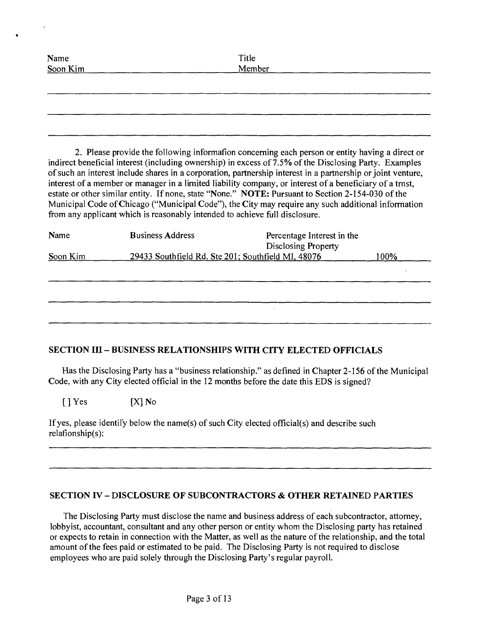| Name<br>Soon Kim<br>Member |  |
|----------------------------|--|
|                            |  |
|                            |  |
|                            |  |
|                            |  |
|                            |  |

2. Please provide the following informafion conceming each person or entity having a direct or indirect beneficial interest (including ownership) in excess of 7.5% of the Disclosing Party. Examples of such an interest include shares in a corporation, partnership interest in a partnership or joint venture, interest of a member or manager in a limited liability company, or interest of a beneficiary of a tmst, estate or other similar entity. If none, state "None." NOTE: Pursuant to Section 2-154-030 of the Municipal Code of Chicago ("Municipal Code"), the City may require any such additional information from any applicant which is reasonably intended to achieve full disclosure.

| Name     | <b>Business Address</b>                            | Percentage Interest in the<br><b>Disclosing Property</b> |      |
|----------|----------------------------------------------------|----------------------------------------------------------|------|
| Soon Kim | 29433 Southfield Rd. Ste 201; Southfield MI, 48076 |                                                          | 100% |
|          |                                                    |                                                          |      |
|          |                                                    |                                                          |      |
|          |                                                    |                                                          |      |
|          |                                                    |                                                          |      |

# **SECTION in - BUSINESS RELATIONSHIPS WITH CITY ELECTED OFFICIALS**

Has the Disclosing Party has a "business relationship." as defined in Chapter 2-156 of the Municipal Code, with any City elected official in the 12 months before the date this EDS is signed?

 $[\ ]$  Yes  $[X]$  No

If yes, please identily below the name(s) of such City elected ofricial(s) and describe such relafionship(s):

## **SECTION IV - DISCLOSURE OF SUBCONTRACTORS & OTHER RETAINED PARTIES**

The Disclosing Party must disclose the name and business address of each subcontractor, attomey, lobbyist, accountant, consultant and any other person or entity whom the Disclosing party has retained or expects to retain in connection with the Matter, as well as the nature ofthe relationship, and the total amount of the fees paid or estimated to be paid. The Disclosing Party is not required to disclose employees who are paid solely through the Disclosing Party's regular payroll.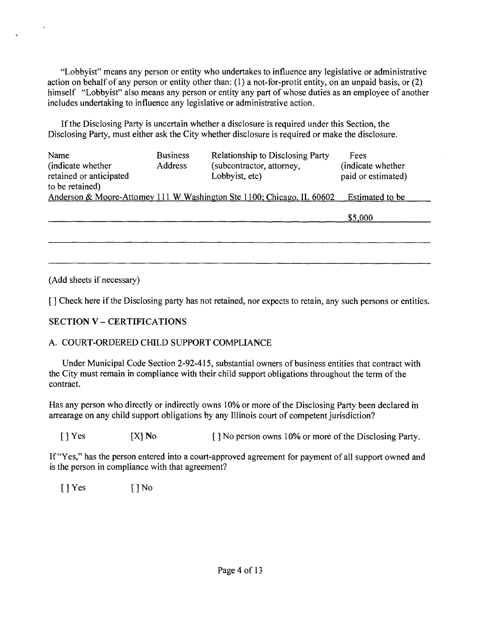"Lobbyist" means any person or entity who undertakes to influence any legislative or administrative action on behalf of any person or entity other than:  $(1)$  a not-for-protit entity, on an unpaid basis, or  $(2)$ himself "Lobbyist" also means any person or entity any part of whose duties as an employee of another includes undertaking to influence any legislative or administrative action.

If the Disclosing Party is uncertain whether a disclosure is required under this Section, the Disclosing Party, must either ask the City whether disclosure is required or make the disclosure.

| Name<br>(indicate whether)<br>retained or anticipated<br>to be retained) | <b>Business</b><br>Address | Relationship to Disclosing Party<br>(subcontractor, attorney,<br>Lobbyist, etc) | Fees<br>(indicate whether<br>paid or estimated) |
|--------------------------------------------------------------------------|----------------------------|---------------------------------------------------------------------------------|-------------------------------------------------|
|                                                                          |                            | Anderson & Moore-Attomey 111 W Washington Ste 1100; Chicago, IL 60602           | Estimated to be<br>\$5,000                      |

(Add sheets if necessary)

 $\ddot{\phantom{a}}$ 

[] Check here if the Disclosing party has not retained, nor expects to retain, any such persons or entities.

# **SECTION V - CERTIFICATIONS**

## A. COURT-ORDERED CHILD SUPPORT COMPLIANCE

Under Municipal Code Section 2-92-415, substantial owners of business entities that contract with the City must remain in compliance with their child support obligations throughout the term of the contract.

Has any person who directly or indirectly owns 10% or more of the Disclosing Party been declared m arrearage on any child support obligations by any Illinois court of competent jurisdiction?

[ ] Yes [X] No [ ] No person owns 10% or more of the Disclosing Party.

If "Yes," has the person entered into a court-approved agreement for payment of all support owned and is the person in compliance with that agreement?

 $[$   $]$  Yes  $[$   $]$  No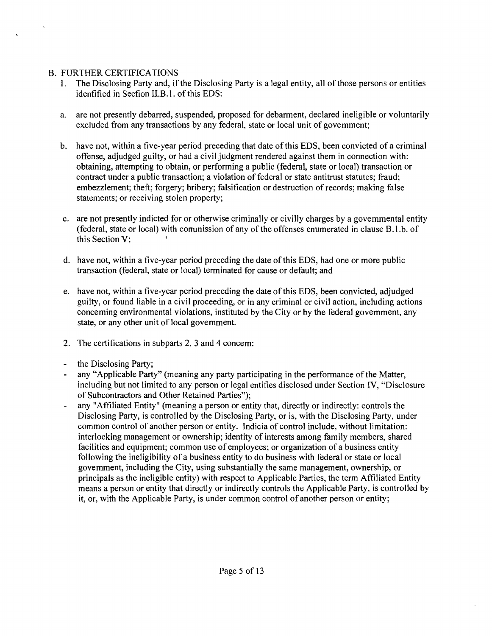# B. FURTHER CERTIFICATIONS

 $\Lambda$ 

- 1. The Disclosing Party and, if the Disclosing Party is a legal entity, all of those persons or entities idenfified in Secfion II.B.l. of this EDS:
- a. are not presently debarred, suspended, proposed for debarment, declared ineligible or voluntarily excluded from any transactions by any federal, state or local unit of govemment;
- b. have not, within a five-year period preceding that date of this EDS, been convicted of a criminal offense, adjudged guilty, or had a civil judgment rendered against them in connection with: obtaining, attempting to obtain, or performing a public (federal, state or local) transaction or contract under a public transaction; a violation of federal or state antitrust statutes; fraud; embezzlement; theft; forgery; bribery; falsification or destruction of records; making false statements; or receiving stolen property;
- c. are not presently indicted for or otherwise criminally or civilly charges by a govemmental entity (federal, state or local) with comunission of any of the offenses enumerated in clause B.1.b. of this Section V;
- d. have not, within a five-year period preceding the date of this EDS, had one or more public transaction (federal, state or local) terminated for cause or default; and
- e. have not, within a five-year period preceding the date of this EDS, been convicted, adjudged guilty, or found liable in a civil proceeding, or in any criminal or civil action, including actions conceming environmental violations, instituted by the City or by the federal govemment, any state, or any other unit of local govemment.
- 2. The certifications in subparts 2, 3 and 4 concem:
- the Disclosing Party;
- any "Applicable Party" (meaning any party participating in the performance of the Matter, including but not limited to any person or legal entifies disclosed under Section IV, "Disclosure of Subcontractors and Other Retained Parties");
- any "Affiliated Entity" (meaning a person or entity that, directly or indirectly: controls the Disclosing Party, is controlled by the Disclosing Party, or is, with the Disclosing Party, under common control of another person or entity. Indicia of control include, without limitation: interlocking management or ownership; identity of interests among family members, shared facilities and equipment; common use of employees; or organization of a business entity following the ineligibility of a business entity to do business with federal or state or local govemment, including the City, using substantially the same management, ownership, or principals as the ineligible entity) with respect to Applicable Parties, the term Affiliated Entity means a person or entity that directly or indirectly controls the Applicable Party, is controlled by it, or, with the Applicable Party, is under common control of another person or entity;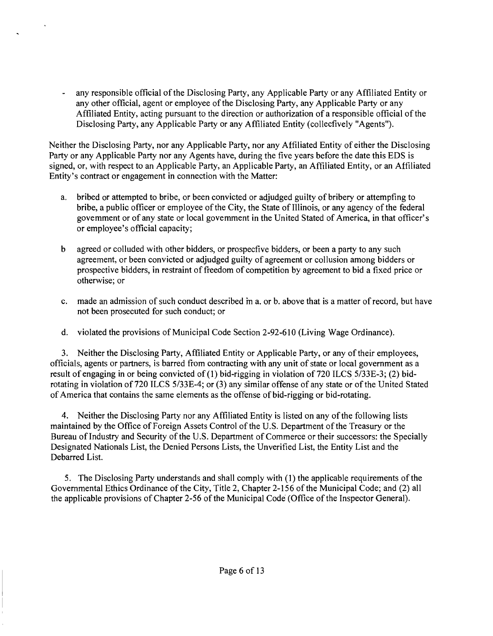any responsible official of the Disclosing Party, any Applicable Party or any Affiliated Entity or any other official, agent or employee of the Disclosing Party, any Applicable Party or any Affiliated Entity, acting pursuant to the direction or authorization of a responsible official of the Disclosing Party, any Applicable Party or any Affiliated Entity (collecfively "Agents").

Neither the Disclosing Party, nor any Applicable Party, nor any Affiliated Entity of either the Disclosing Party or any Applicable Party nor any Agents have, during the five years before the date this EDS is signed, or, with respect to an Applicable Party, an Applicable Party, an Affiliated Entity, or an Affiliated Entity's contract or engagement in connection with the Matter:

- a. bribed or attempted to bribe, or been convicted or adjudged guilty of bribery or attempfing to bribe, a public officer or employee of the City, the State of Illinois, or any agency of the federal govemment or of any state or local govemment in the United Stated of America, in that officer's or employee's official capacity;
- b agreed or colluded with other bidders, or prospecfive bidders, or been a party to any such agreement, or been convicted or adjudged guilty of agreement or collusion among bidders or prospective bidders, in restraint of freedom of competition by agreement to bid a fixed price or otherwise; or
- c. made an admission of such conduct described m a. or b. above that is a matter of record, but have not been prosecuted for such conduct; or
- d. violated the provisions of Municipal Code Section 2-92-610 (Living Wage Ordinance).

3. Neither the Disclosing Party, Affiliated Entity or Applicable Party, or any of their employees, officials, agents or partners, is barred from contracting with any unit of state or local government as a result of engaging in or being convicted of (1) bid-rigging in violation of 720 ILCS 5/33E-3; (2) bidrotating in violation of 720 ILCS 5/33E-4; or (3) any similar offense of any state or of the United Stated of America that contains the same elements as the offense of bid-rigging or bid-rotating.

4. Neither the Disclosing Party nor any Affiliated Entity is listed on any of the following lists maintained by the Office of Foreign Assets Control of the U.S. Department of the Treasury or the Bureau of Industry and Security of the U.S. Department of Commerce or their successors: the Specially Designated Nationals List, the Denied Persons Lists, the Unverified List, the Entity List and the Debarred List.

5. The Disclosing Party understands and shall comply with (1) the applicable requirements of the Governmental Ethics Ordinance of the City, Title 2, Chapter 2-156 of the Municipal Code; and (2) all the applicable provisions of Chapter 2-56 of the Municipal Code (Office of the Inspector General).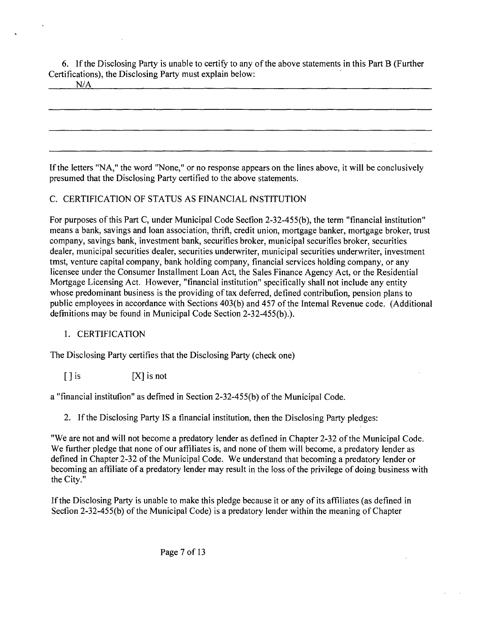6. If the Disclosing Party is unable to certify to any of the above statements in this Part B (Further Certifications), the Disclosing Party must explain below:

N/A

If the letters "NA," the word "None," or no response appears on the lines above, it will be conclusively presumed that the Disclosing Party certified to the above statements.

# C. CERTIFICATION OF STATUS AS FINANCIAL fNSTITUTlON

For purposes of this Part C, under Municipal Code Secfion 2-32-455(b), the term "financial institution" means a bank, savings and loan association, thrift, credit union, mortgage banker, mortgage broker, trust company, savings bank, investment bank, securifies broker, municipal securifies broker, securities dealer, municipal securities dealer, securities underwriter, municipal securities underwriter, investment tmst, venture capital company, bank holding company, financial services holding company, or any licensee under the Consumer Installment Loan Act, the Sales Finance Agency Act, or the Residential Mortgage Licensing Act. However, "financial institution" specifically shall not include any entity whose predominant business is the providing of tax deferred, defined contribufion, pension plans to public employees in accordance with Sections 403(b) and 457 of the Intemal Revenue code. (Additional defmitions may be found in Municipal Code Section 2-32-455(b).).

# 1. CERTIFICATION

The Disclosing Party certifies that the Disclosing Party (check one)

 $[$  ] is  $[$ 

a "financial institufion" as defmed in Section 2-32-455(b) of the Municipal Code.

2. If the Disclosing Party IS a financial institution, then the Disclosing Party pledges:

"We are not and will not become a predatory lender as defined in Chapter 2-32 of the Municipal Code. We further pledge that none of our affiliates is, and none of them will become, a predatory lender as defined in Chapter 2-32 of the Municipal Code. We understand that becoming a predatory lender or becoming an affiliate of a predatory lender may result in the loss of the privilege of doing business with the City."

If the Disclosing Party is unable to make this pledge because it or any of its affiliates (as defined in Secfion 2-32-455(b) of the Municipal Code) is a predatory lender within the meaning of Chapter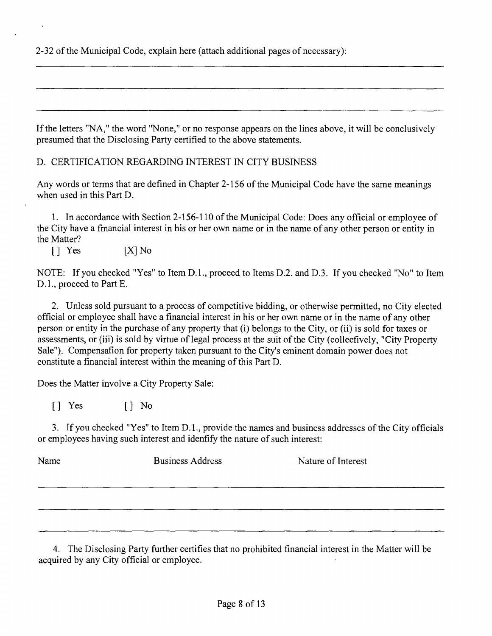2-32 of the Municipal Code, explain here (attach additional pages of necessary):

If the letters "NA," the word "None," or no response appears on the lines above, it will be conclusively presumed that the Disclosing Party certified to the above statements.

D. CERTIFICATION REGARDING INTEREST IN CITY BUSINESS

Any words or terms that are defined in Chapter 2-156 of the Municipal Code have the same meanings when used in this Part D.

1. In accordance with Section 2-156-110 ofthe Municipal Code: Does any official or employee of the City have a fmancial interest in his or her own name or in the name of any other person or entity in the Matter?

[] Yes [X] No

NOTE: If you checked "Yes" to Item D.L, proceed to Items D.2. and D.3. If you checked "No" to Item D.l,, proceed to Part E.

2. Unless sold pursuant to a process of competitive bidding, or otherwise permitted, no City elected official or employee shall have a financial interest in his or her own name or in the name of any other person or entity in the purchase of any property that (i) belongs to the City, or (ii) is sold for taxes or assessments, or (iii) is sold by virtue of legal process at the suit of the City (collecfively, "City Property Sale"). Compensafion for property taken pursuant to the City's eminent domain power does not constitute a financial interest within the meaning of this Part D.

Does the Matter involve a City Property Sale:

[] Yes [] No

3. If you checked "Yes" to Item D. 1., provide the names and business addresses of the City officials or employees having such interest and idenfify the nature of such interest:

| Name | <b>Business Address</b> | Nature of Interest |
|------|-------------------------|--------------------|
|      |                         |                    |

4. The Disclosing Party further certifies that no prohibited financial interest in the Matter will be acquired by any City official or employee.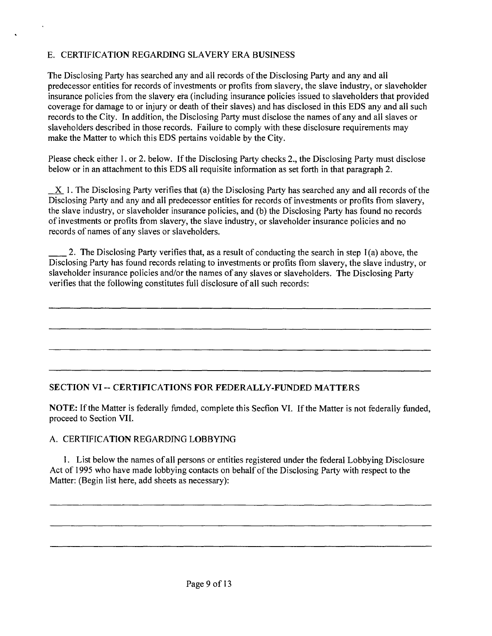# E. CERTIFICATION REGARDING SLAVERY ERA BUSINESS

The Disclosing Party has searched any and all records of the Disclosing Party and any and all predecessor entities for records of investments or profits from slavery, the slave industry, or slaveholder insurance policies from the slavery era (including insurance policies issued to slaveholders that provided coverage for damage to or injury or death of their slaves) and has disclosed in this EDS any and all such records to the City. In addition, the Disclosing Party must disclose the names of any and all slaves or slaveholders described in those records. Failure to comply with these disclosure requirements may make the Matter to which this EDS pertains voidable by the City.

Please check either 1, or 2, below. If the Disclosing Party checks 2, the Disclosing Party must disclose below or in an attachment to this EDS all requisite information as set forth in that paragraph 2.

 $X$  1. The Disclosing Party verifies that (a) the Disclosing Party has searched any and all records of the Disclosing Party and any and all predecessor entities for records of investments or profits from slavery, the slave industry, or slaveholder insurance policies, and (b) the Disclosing Party has found no records of investments or profits from slavery, the slave industry, or slaveholder insurance policies and no records of names of any slaves or slaveholders.

2. The Disclosing Party verifies that, as a result of conducting the search in step I (a) above, the Disclosing Party has found records relating to investments or profits from slavery, the slave industry, or slaveholder insurance policies and/or the names of any slaves or slaveholders. The Disclosing Party verifies that the following constitutes full disclosure of all such records:

# **SECTION VI ~ CERTIFICATIONS FOR FEDERALLY-FUNDED MATTERS**

NOTE: If the Matter is federally ftmded, complete this Secfion VI. If the Matter is not federally funded, proceed to Section VII.

## A. CERTIFICATION REGARDING LOBBYING

1. List below the names of all persons or entities registered under the federal Lobbying Disclosure Act of 1995 who have made lobbying contacts on behalf of the Disclosing Party with respect to the Matter: (Begin list here, add sheets as necessary):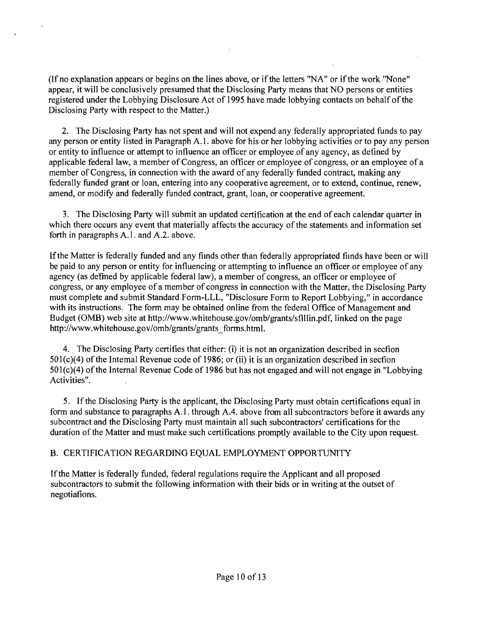(If no explanation appears or begins on the lines above, or if the letters "NA" or if the work "None" appear, it will be conclusively presumed that the Disclosing Party means that NO persons or entities registered under the Lobbying Disclosure Act of 1995 have made lobbying contacts on behalf of the Disclosing Party with respect to the Matter.)

2. The Disclosing Party has not spent and will not expend any federally appropriated funds to pay any person or entity listed in Paragraph A.l . above for his or her lobbying activities or to pay any person or entity to influence or attempt to influence an officer or employee of any agency, as defined by applicable federal law, a member of Congress, an officer or employee of congress, or an employee of a member of Congress, in connection with the award of any federally funded contract, making any federally funded grant or loan, entering into any cooperative agreement, or to extend, continue, renew, amend, or modify and federally flinded contract, grant, loan, or cooperative agreement.

3. The Disclosing Party will submit an updated certification at the end of each calendar quarter in which there occurs any event that materially affects the accuracy of the statements and information set forth in paragraphs A.l . and A.2, above.

If the Matter is federally funded and any fiinds other than federally appropriated fiinds have been or will be paid to any person or entity for influencing or attempting to influence an officer or employee of any agency (as defmed by applicable federal law), a member of congress, an officer or employee of congress, or any employee of a member of congress in connection with the Matter, the Disclosing Party must complete and submit Standard Form-LLL, "Disclosure Form to Report Lobbying," in accordance with its instructions. The form may be obtained online from the federal Office of Management and Budget (0MB) web site at http://www.whitehouse.gov/omb/grants/sflllin.pdf, linked on the page http://www.whitehouse.gov/omb/grants/grants\_forms.html.

4. The Disclosing Party certifies that either: (i) it is not an organization described in secfion 501(c)(4) of the Intemal Revenue code of 1986; or (ii) it is an organization described in secfion  $501$ (c)(4) of the Internal Revenue Code of 1986 but has not engaged and will not engage in "Lobbying" Activities".

5. If the Disclosing Party is the applicant, the Disclosing Party must obtain certificafions equal in form and substance to paragraphs A.l . through A.4. above from all subcontractors before it awards any subcontract and the Disclosing Party must maintain all such subcontractors' certifications for the duration of the Matter and must make such certifications promptly available to the City upon request.

# B. CERTIFICATION REGARDING EQUAL EMPLOYMENT OPPORTUNITY

If the Matter is federally funded, federal regulations require the Applicant and all proposed subcontractors to submit the following information with their bids or in writing at the outset of negotiafions.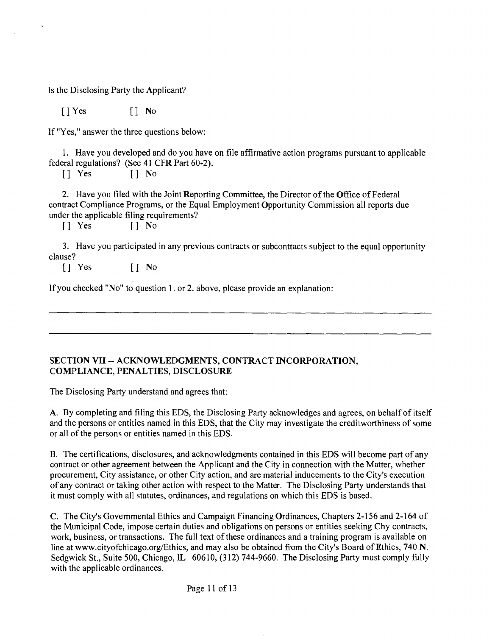Is the Disclosing Party the Applicant?

[] Yes [] No

If "Yes," answer the three questions below:

1. Have you developed and do you have on file affirmative action programs pursuant to applicable federal regulations? (See 41 CFR Part 60-2).

[] Yes [] No

2. Have you filed with the Joint Reporting Committee, the Director of the Office of Federal contract Compliance Programs, or the Equal Employment Opportunity Commission all reports due under the applicable filing requirements?

[] Yes [] No

3. Have you participated in any previous contracts or subconttacts subject to the equal opportunity clause?

[] Yes [] No

If you checked "No" to question 1. or 2. above, please provide an explanation:

#### **SECTION VII -- ACKNOWLEDGMENTS, CONTRACT INCORPORATION, COMPLIANCE, PENALTIES, DISCLOSURE**

The Disclosing Party understand and agrees that:

A. By completing and filing this EDS, the Disclosing Party acknowledges and agrees, on behalf of itself and the persons or entities named in this EDS, that the City may investigate the creditworthiness of some or all of the persons or entities named in this EDS.

B. The certifications, disclosures, and acknowledgments contained in this EDS will become part of any contract or other agreement between the Applicant and the City in connection with the Matter, whether procurement. City assistance, or other City action, and are material inducements to the City's execution of any contract or taking other action with respect to the Matter. The Disclosing Party understands that it must comply with all statutes, ordinances, and regulations on which this EDS is based.

C. The City's Govemmental Ethics and Campaign Financing Ordinances, Chapters 2-156 and 2-164 of the Municipal Code, impose certain duties and obligations on persons or entities seeking Chy contracts, work, business, or transactions. The full text of these ordinances and a training program is available on line at www.cityofchicago.org/Ethics, and may also be obtained from the City's Board of Ethics, 740 N. Sedgwick St., Suite 500, Chicago, IL 60610, (312) 744-9660. The Disclosing Party must comply fully with the applicable ordinances.

Page 11 of 13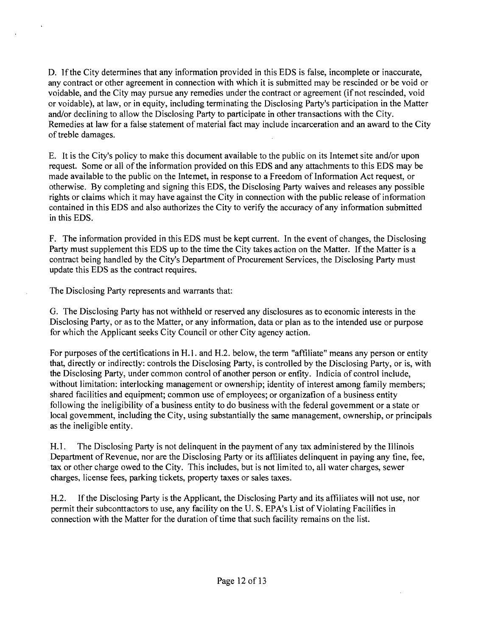D. If the City determines that any information provided in this EDS is false, incomplete or inaccurate, any contract or other agreement in connection with which it is submitted may be rescinded or be void or voidable, and the City may pursue any remedies under the contract or agreement (if not rescinded, void or voidable), at law, or in equity, including terminating the Disclosing Party's participation in the Matter and/or declining to allow the Disclosing Party to participate in other transactions with the City. Remedies at law for a false statement of material fact may include incarceration and an award to the City of treble damages.

E. It is the City's policy to make this document available to the public on its Intemet site and/or upon request. Some or all of the information provided on this EDS and any attachments to this EDS may be made available to the public on the Intemet, in response to a Freedom of Information Act request, or otherwise. By completing and signing this EDS, the Disclosing Party waives and releases any possible rights or claims which it may have against the City in connection with the public release of information contained in this EDS and also authorizes the City to verify the accuracy of any information submitted in this EDS.

F. The information provided in this EDS must be kept current. In the event of changes, the Disclosing Party must supplement this EDS up to the time the City takes action on the Matter. If the Matter is a contract being handled by the City's Department of Procurement Services, the Disclosing Party must update this EDS as the contract requires.

The Disclosing Party represents and warrants that:

G. The Disclosing Party has not withheld or reserved any disclosures as to economic interests in the Disclosing Party, or as to the Matter, or any information, data or plan as to the intended use or purpose for which the Applicant seeks City Council or other City agency action.

For purposes ofthe certifications in H.l . and H.2. below, the term "affiliate" means any person or entity that, directly or indirectly: controls the Disclosing Party, is controlled by the Disclosing Party, or is, with the Disclosing Party, under common control of another person or enfity. Indicia of control include, without limitation: interlocking management or ownership; identity of interest among family members; shared facilities and equipment; common use of employees; or organizafion of a business entity following the ineligibility of a business entity to do business with the federal govemment or a state or local govemment, including the City, using substantially the same management, ownership, or principals as the ineligible entity.

H. I. The Disclosing Party is not delinquent in the payment of any tax administered by the Illinois Department of Revenue, nor are the Disclosing Party or its affiliates delinquent in paying any fine, fee, tax or other charge owed to the City. This includes, but is not limited to, all water charges, sewer charges, license fees, parking tickets, property taxes or sales taxes.

H.2. Ifthe Disclosing Party is the Applicant, the Disclosing Party and its affiliates will not use, nor permit their subconttactors to use, any facility on the U. S. EPA's List of Violating Facilifies in connection with the Matter for the duration of time that such facility remains on the list.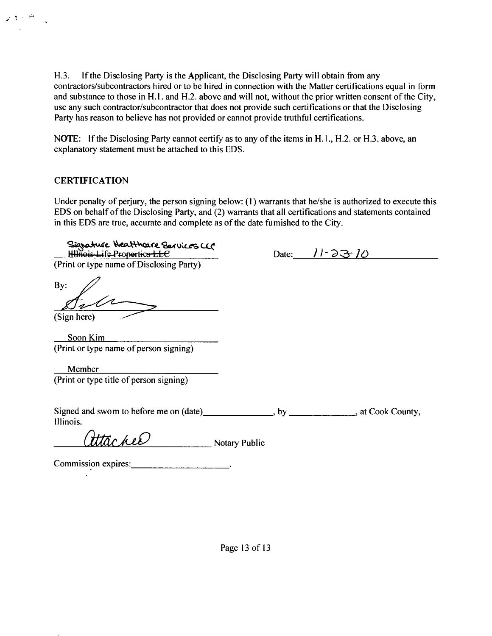H.3. If the Disclosing Party is the Applicant, the Disclosing Party will obtain from any contractors/subcontractors hired or to be hired in connection with the Matter certifications equal in form and substance to those in H.I. and H.2. above and will not, without the prior written consent of the City, use any such contractor/subcontractor that does not provide such certifications or that the Disclosing Party has reason to believe has not provided or cannot provide truthful certifications.

NOTE: If the Disclosing Party cannot certify as to any of the items in H.1., H.2. or H.3. above, an explanatory statement must be attached to this EDS.

#### **CERTIFICATION**

્યું છે.<br>ત્ર

Under penalty of perjury, the person signing below: (I) warrants that he/she is authorized to execute this EDS on behalf of the Disclosing Party, and (2) warrants that all certifications and statements contained in this EDS are true, accurate and complete as of the date fumished to the City.

Signature Heatthcare Services CCC *ti44we;&4,ifc Pionorticj LLC Date: Jl'2>^JC>*  (Print or type name of Disclosing Party) By: (Sign here) Soon Kim (Print or type name of person signing) Member (Print or type title of person signing) Signed and swom to before me on (date) here is a by successive state Cook County, Illinois. Utachee Notary Public Commission expires: \_\_\_\_\_\_\_\_\_\_\_\_\_\_\_\_\_\_\_\_\_\_\_\_\_\_\_\_\_.

Page 13 of 13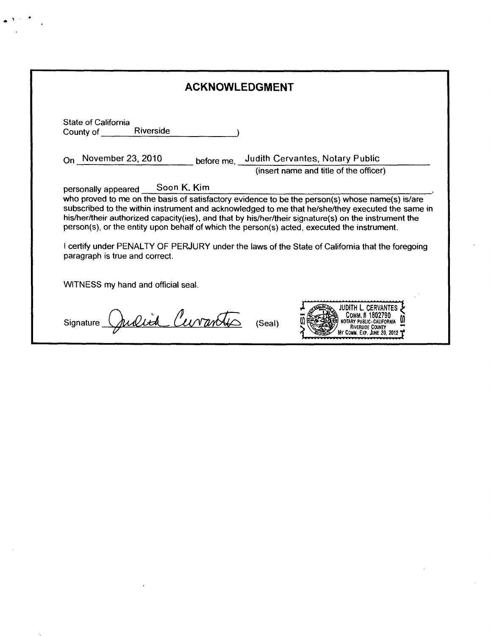|                                                                | <b>ACKNOWLEDGMENT</b>                                                                                                                                                                                                                                                                                                                                                                                      |
|----------------------------------------------------------------|------------------------------------------------------------------------------------------------------------------------------------------------------------------------------------------------------------------------------------------------------------------------------------------------------------------------------------------------------------------------------------------------------------|
| State of California<br>Riverside<br>County of <b>County</b> of |                                                                                                                                                                                                                                                                                                                                                                                                            |
| On November 23, 2010                                           | before me, Judith Cervantes, Notary Public                                                                                                                                                                                                                                                                                                                                                                 |
|                                                                | (insert name and title of the officer)                                                                                                                                                                                                                                                                                                                                                                     |
|                                                                | subscribed to the within instrument and acknowledged to me that he/she/they executed the same in<br>his/her/their authorized capacity(ies), and that by his/her/their signature(s) on the instrument the<br>person(s), or the entity upon behalf of which the person(s) acted, executed the instrument.<br>I certify under PENALTY OF PERJURY under the laws of the State of California that the foregoing |
| paragraph is true and correct.                                 |                                                                                                                                                                                                                                                                                                                                                                                                            |
| WITNESS my hand and official seal.                             |                                                                                                                                                                                                                                                                                                                                                                                                            |

 $\bar{t}$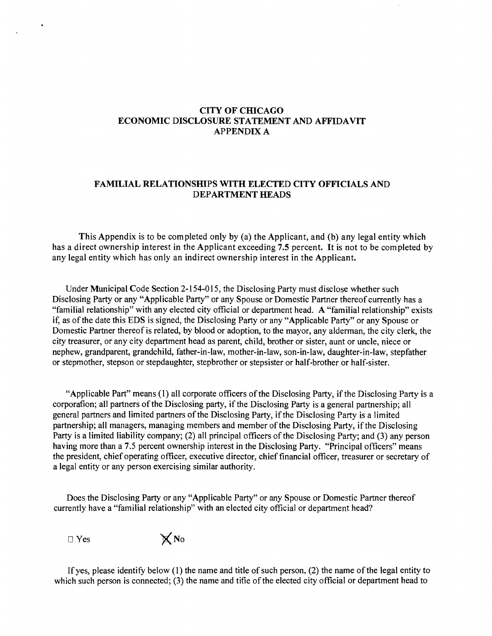## **CITY OF CHICAGO ECONOMIC DISCLOSURE STATEMENT AND AFFIDAVIT APPENDIX A**

#### **FAMILIAL RELATIONSHIPS WITH ELECTED CITY OFFICIALS AND DEPARTMENT HEADS**

**This Appendix is to be completed only by (a) the Applicant, and (b) any legal entity which has a direct ownership interest in the Applicant exceeding 7.5 percent. It is not to be completed by any legal entity which has only an indirect ownership interest in the Applicant.** 

Under Municipal Code Section 2-154-015, the Disclosing Party must disclose whether such Disclosing Party or any "Applicable Party" or any Spouse or Domestic Partner thereof currently has a "familial relationship" with any elected city official or department head. A "familial relationship" exists if, as of the date this EDS is signed, the Disclosing Party or any "Applicable Party" or any Spouse or Domestic Partner thereof is related, by blood or adoption, to the mayor, any alderman, the city clerk, the city treasurer, or any city department head as parent, child, brother or sister, aunt or uncle, niece or nephew, grandparent, grandchild, father-in-law, mother-in-law, son-in-law, daughter-in-law, stepfather or stepmother, stepson or stepdaughter, stepbrother or stepsister or half-brother or half-sister.

"Applicable Part" means (1) all corporate officers of the Disclosing Party, if the Disclosing Party is a corporafion; all partners of the Disclosing party, if the Disclosing Party is a general partnership; all general partners and limited partners of the Disclosing Party, if the Disclosing Party is a limited partnership; all managers, managing members and member of the Disclosing Party, ifthe Disclosing Party is a limited liability company; (2) all principal officers of the Disclosing Party; and (3) any person having more than a 7.5 percent ownership interest in the Disclosing Party. "Principal officers" means the president, chief operating officer, executive director, chief financial officer, treasurer or secretary of a legal entity or any person exercising similar authority.

Does the Disclosing Party or any "Applicable Party" or any Spouse or Domestic Partner thereof currently have a "familial relationship" with an elected city official or department head?

 $\Box$  Yes  $\boxtimes$  No

If yes, please identify below  $(1)$  the name and title of such person,  $(2)$  the name of the legal entity to which such person is connected; (3) the name and tifie of the elected city official or department head to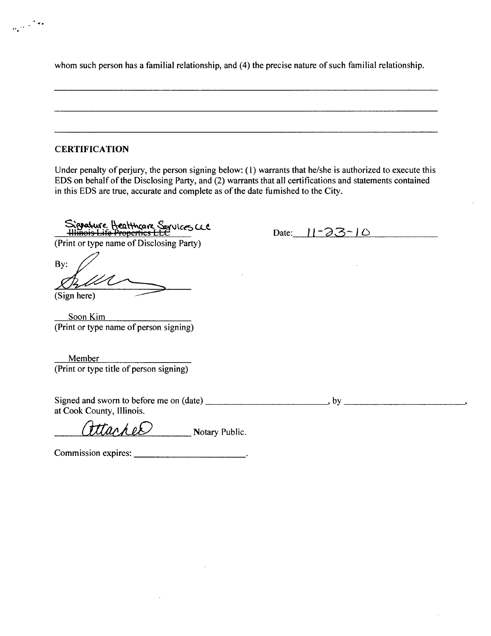whom such person has a familial relationship, and (4) the precise nature of such familial relationship.

#### **CERTIFICATION**

 $\frac{1}{\left|\partial_{\alpha}\right|^{1/2}}$  ,  $\frac{1}{\sqrt{2}}$  and

Under penalty of perjury, the person signing below: (1) warrants that he/she is authorized to execute this EDS on behalf of the Disclosing Party, and (2) warrants that all certifications and statements contained in this EDS are true, accurate and complete as of the date fumished to the City.

Signature Heatthcare Services CCC<br>Himois Life Properties LLC<br>(Print or type name of Disclosing Party)

Date:  $11 - 23 - 10$ 

Bv: (Sign here)

Soon Kim (Print or type name of person signing)

Member (Print or type title of person signing)

Signed and sworn to before me on (date), by at Cook County, Illinois.

 $\text{Hach}e\mathcal{D}$  Notary Public.

Commission expires: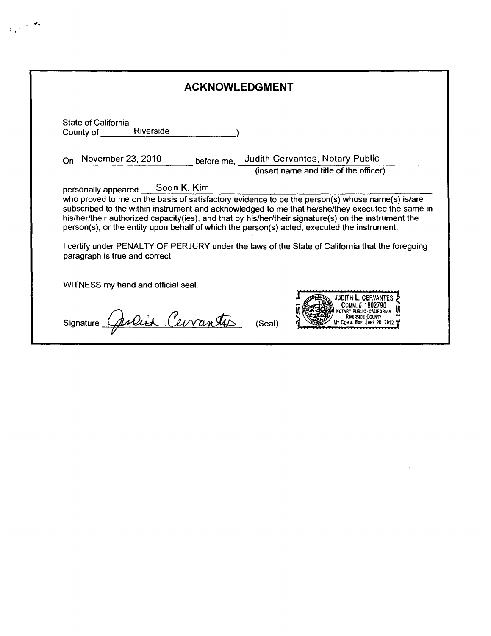| State of California<br>Riverside<br>County of                                                                                 |                                                                                                                                                                                                         |
|-------------------------------------------------------------------------------------------------------------------------------|---------------------------------------------------------------------------------------------------------------------------------------------------------------------------------------------------------|
| On November 23, 2010                                                                                                          | before me, Judith Cervantes, Notary Public                                                                                                                                                              |
|                                                                                                                               | (insert name and title of the officer)                                                                                                                                                                  |
| Soon K. Kim<br>personally appeared                                                                                            | who proved to me on the basis of satisfactory evidence to be the person(s) whose name(s) is/are<br>subscribed to the within instrument and acknowledged to me that he/she/they executed the same in     |
| person(s), or the entity upon behalf of which the person(s) acted, executed the instrument.<br>paragraph is true and correct. | his/her/their authorized capacity(ies), and that by his/her/their signature(s) on the instrument the<br>I certify under PENALTY OF PERJURY under the laws of the State of California that the foregoing |
| WITNESS my hand and official seal.                                                                                            |                                                                                                                                                                                                         |

 $\sim 10^7$ 

 $\epsilon_{\rm in}$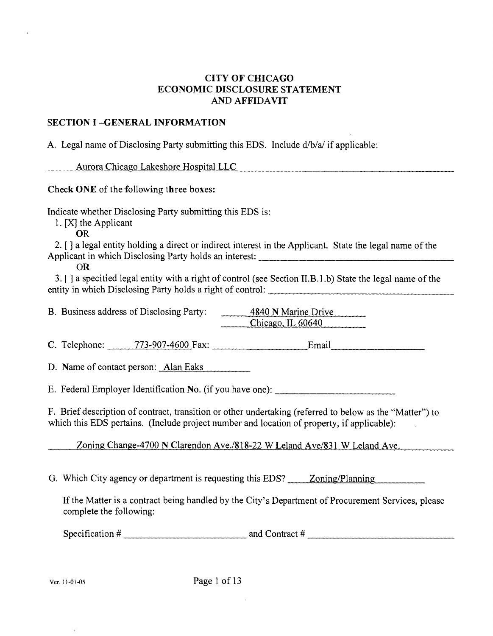# **CITY OF CHICAGO ECONOMIC DISCLOSURE STATEMENT AND AFFIDAVIT**

## **SECTION I -GENERAL INFORMATION**

A. Legal name of Disclosing Party submitting this EDS. Include d/b/a/ if applicable:

Aurora Chicago Lakeshore Hospital LLC

**Check ONE of the following three boxes:** 

Indicate whether Disclosing Party submitting this EDS is:

1. [X] the Applicant

OR

2.  $\lceil$  a legal entity holding a direct or indirect interest in the Applicant. State the legal name of the Applicant in which Disclosing Party holds an interest:

OR

3. [ ] a specified legal entity with a right of control (see Secfion II.B.l .b) State the legal name of the entity in which Disclosing Party holds a right of control:

B. Business address of Disclosing Party: 4840 N Marine Drive  $Chicago, IL 60640$ 

C. Telephone: 773-907-4600 Fax: Email,

D. Name of contact person: Alan Eaks

E. Federal Employer Identificafion No. (if you have one):

F. Brief description of contract, transition or other undertaking (referred to below as the "Matter") to which this EDS pertains. (Include project number and location of property, if applicable):

Zoning Change-4700 N Clarendon Ave./818-22 W Leland Ave/831 W Leland Ave.

G. Which City agency or department is requesting this EDS? Zoning/Planning

If the Matter is a contract being handled by the City's Department of Procurement Services, please complete the following:

*Specification # and Contract #*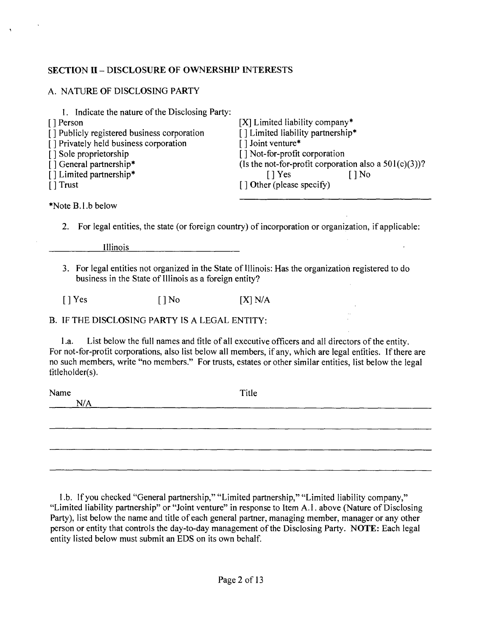# **SECTION II - DISCLOSURE OF OWNERSHIP INTERESTS**

 $\Lambda$ 

| A. NATURE OF DISCLOSING PARTY                                                                                                                                                                                                                           |                                                                                                                                                                                                                                                                                                                            |
|---------------------------------------------------------------------------------------------------------------------------------------------------------------------------------------------------------------------------------------------------------|----------------------------------------------------------------------------------------------------------------------------------------------------------------------------------------------------------------------------------------------------------------------------------------------------------------------------|
| 1. Indicate the nature of the Disclosing Party:<br>[] Person<br>[] Publicly registered business corporation<br>[] Privately held business corporation<br>[] Sole proprietorship<br>[] General partnership*<br>[] Limited partnership*<br>$\lceil$ Trust | [X] Limited liability company*<br>[] Limited liability partnership*<br>[] Joint venture*<br>[] Not-for-profit corporation<br>(Is the not-for-profit corporation also a $501(c)(3)$ )?<br>$[$   Yes<br>$\lceil \cdot \rceil$ No<br>[] Other (please specify)                                                                |
| *Note B.1.b below                                                                                                                                                                                                                                       |                                                                                                                                                                                                                                                                                                                            |
| 2.                                                                                                                                                                                                                                                      | For legal entities, the state (or foreign country) of incorporation or organization, if applicable:                                                                                                                                                                                                                        |
| Illinois                                                                                                                                                                                                                                                |                                                                                                                                                                                                                                                                                                                            |
| business in the State of Illinois as a foreign entity?                                                                                                                                                                                                  | 3. For legal entities not organized in the State of Illinois: Has the organization registered to do                                                                                                                                                                                                                        |
| $[$ ] Yes<br>$\lceil \cdot \rceil$ No                                                                                                                                                                                                                   | [X] N/A                                                                                                                                                                                                                                                                                                                    |
| B. IF THE DISCLOSING PARTY IS A LEGAL ENTITY:                                                                                                                                                                                                           |                                                                                                                                                                                                                                                                                                                            |
| 1.a.<br>fitleholder(s).                                                                                                                                                                                                                                 | List below the full names and fitle of all executive officers and all directors of the entity.<br>For not-for-profit corporations, also list below all members, if any, which are legal enfities. If there are<br>no such members, write "no members." For trusts, estates or other similar entities, list below the legal |
| Name<br>N/A                                                                                                                                                                                                                                             | Title                                                                                                                                                                                                                                                                                                                      |
|                                                                                                                                                                                                                                                         |                                                                                                                                                                                                                                                                                                                            |
|                                                                                                                                                                                                                                                         |                                                                                                                                                                                                                                                                                                                            |
|                                                                                                                                                                                                                                                         |                                                                                                                                                                                                                                                                                                                            |
|                                                                                                                                                                                                                                                         |                                                                                                                                                                                                                                                                                                                            |

I .b. If you checked "General partnership," "Limited partnership," "Limited liability company," "Limited liability partnership" or "Joint venture" in response to Item A.l. above (Nature of Disclosing Party), list below the name and title of each general partner, managing member, manager or any other person or entity that controls the day-to-day management of the Disclosing Party. NOTE: Each legal entity listed below must submit an EDS on its own behalf.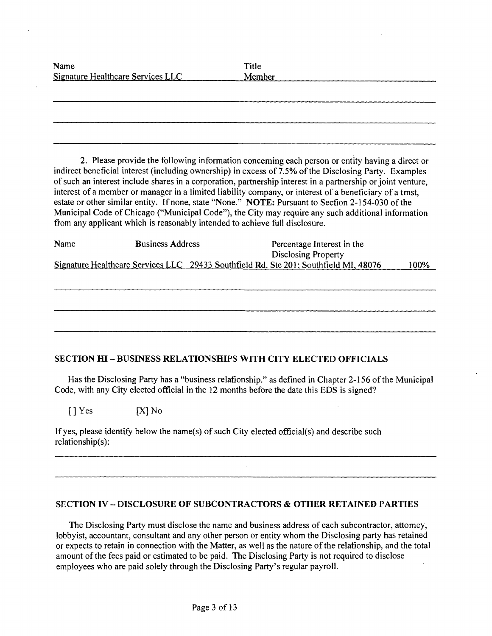| Name<br>Signature Healthcare Services LLC | Title<br>Member |
|-------------------------------------------|-----------------|
|                                           |                 |
|                                           |                 |
|                                           |                 |

2. Please provide the following information conceming each person or entity having a direct or indirect beneficial interest (including ownership) in excess of 7.5% of the Disclosing Party. Examples of such an interest include shares in a corporation, partnership interest in a partnership or joint venture, interest of a member or manager in a limited liability company, or interest of a beneficiary of a tmst, estate or other similar entity. If none, state "None." NOTE: Pursuant to Secfion 2-154-030 of the Municipal Code of Chicago ("Municipal Code"), the City may require any such additional information from any applicant which is reasonably intended to achieve full disclosure.

| Name | <b>Business Address</b> | Percentage Interest in the                                                           |      |
|------|-------------------------|--------------------------------------------------------------------------------------|------|
|      |                         | <b>Disclosing Property</b>                                                           |      |
|      |                         | Signature Healthcare Services LLC 29433 Southfield Rd. Ste 201; Southfield MI, 48076 | 100% |

#### **SECTION HI - BUSINESS RELATIONSHIPS WITH CITY ELECTED OFFICIALS**

Has the Disclosing Party has a "business relafionship." as defined in Chapter 2-156 of the Municipal Code, with any City elected official in the 12 months before the date this EDS is signed?

 $[$  ] Yes  $[X]$  No

If yes, please identify below the name(s) of such City elected official(s) and describe such relationship(s):

#### **SECTION IV - DISCLOSURE OF SUBCONTRACTORS & OTHER RETAINED PARTIES**

The Disclosing Party must disclose the name and business address of each subcontractor, attomey, lobbyist, accountant, consultant and any other person or entity whom the Disclosing party has retained or expects to retain in connection with the Matter, as well as the nature ofthe relafionship, and the total amount of the fees paid or estimated to be paid. The Disclosing Party is not required to disclose employees who are paid solely through the Disclosing Party's regular payroll.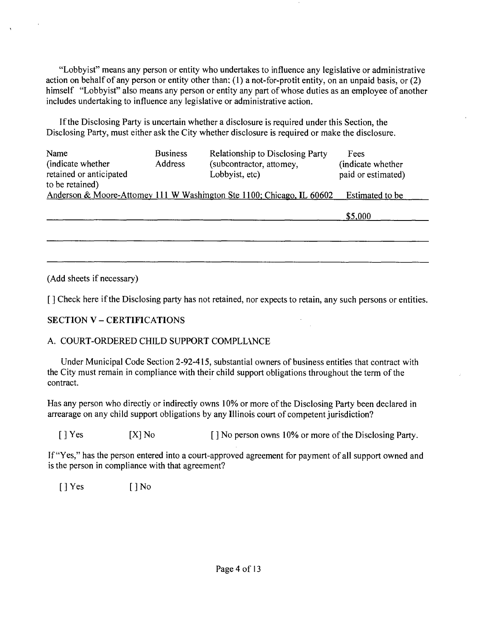"Lobbyist" means any person or entity who undertakes to influence any legislative or administrative action on behalf of any person or entity other than: (1) a not-for-profit entity, on an unpaid basis, or (2) himself "Lobbyist" also means any person or entity any part of whose duties as an employee of another includes undertaking to influence any legislative or administrative action.

If the Disclosing Party is uncertain whether a disclosure is required under this Section, the Disclosing Party, must either ask the City whether disclosure is required or make the disclosure.

| Name<br>(indicate whether)<br>retained or anticipated<br>to be retained) | <b>Business</b><br>Address | <b>Relationship to Disclosing Party</b><br>(subcontractor, attomey,<br>Lobbyist, etc) | Fees<br>(indicate whether<br>paid or estimated) |
|--------------------------------------------------------------------------|----------------------------|---------------------------------------------------------------------------------------|-------------------------------------------------|
|                                                                          |                            | Anderson & Moore-Attomey 111 W Washington Ste 1100; Chicago, IL 60602                 | Estimated to be                                 |
|                                                                          |                            |                                                                                       | \$5,000                                         |

\$5.000

(Add sheets if necessary)

[] Check here if the Disclosing party has not retained, nor expects to retain, any such persons or entities.

# **SECTION V - CERTIFICATIONS**

## A. COURT-ORDERED CHILD SUPPORT COMPLLANCE

Under Municipal Code Section 2-92-415, substantial owners of business entifies that contract with the City must remain in compliance with their child support obligations throughout the term of the contract.

Has any person who direcfiy or indirecfiy owns 10% or more of the Disclosing Party been declared in arrearage on any child support obligations by any Illinois court of competent jurisdiction?

[ ] Yes [X] No [ ] No person owns 10% or more of the Disclosing Party.

If "Yes," has the person entered into a court-approved agreement for payment of all support owned and is the person in compliance with that agreement?

 $[$  | Yes  $[$  | No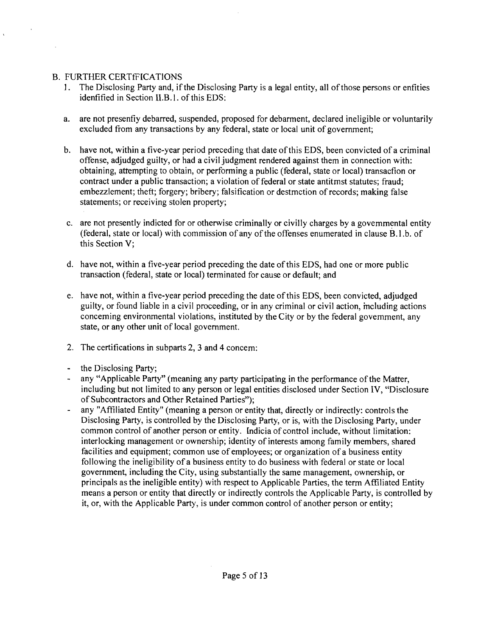# **B. FURTHER CERTIFICATIONS**

- 1. The Disclosing Party and, if the Disclosing Party is a legal entity, all of those persons or enfities idenfified in Section II.B.l. of this EDS:
- a. are not presenfiy debarred, suspended, proposed for debarment, declared ineligible or voluntarily excluded from any transactions by any federal, state or local unit of government;
- b. have not, within a five-year period preceding that date of this EDS, been convicted of a criminal offense, adjudged guilty, or had a civil judgment rendered against them in connection with: obtaining, attempting to obtain, or performing a public (federal, state or local) transacfion or contract under a public ttansaction; a violation of federal or state antitmst statutes; fraud; embezzlement; theft; forgery; bribery; falsification or destmction of records; making false statements; or receiving stolen property;
- c. are not presently indicted for or otherwise criminally or civilly charges by a govemmental entity (federal, state or local) with commission of any of the offenses enumerated in clause B.l .b. of this Section V;
- d. have not, within a five-year period preceding the date of this EDS, had one or more public transaction (federal, state or local) terminated for cause or default; and
- e. have not, within a five-year period preceding the date of this EDS, been convicted, adjudged guilty, or found liable in a civil proceeding, or in any criminal or civil action, mcluding actions conceming environmental violations, instituted by the City or by the federal govemment, any state, or any other unit of local government.
- 2. The certifications in subparts 2, 3 and 4 concem:
- the Disclosing Party;
- any "Applicable Party" (meaning any party participating in the performance of the Matter, including but not limited to any person or legal entities disclosed under Section IV, "Disclosure of Subcontractors and Other Retained Parties");
- any "Affiliated Entity" (meaning a person or entity that, directly or indirectly: controls the Disclosing Party, is controlled by the Disclosing Party, or is, with the Disclosing Party, under common control of another person or entity. Indicia of conttol include, without limitation: interlocking management or ownership; identity of interests among family members, shared facilities and equipment; common use of employees; or organization of a business entity following the ineligibility of a business entity to do business with federal or state or local government, including the City, using substantially the same management, ownership, or principals as the ineligible entity) with respect to Applicable Parties, the term Affiliated Entity means a person or entity that directly or indirectly controls the Applicable Party, is controlled by it, or, with the Applicable Party, is under common control of another person or entity;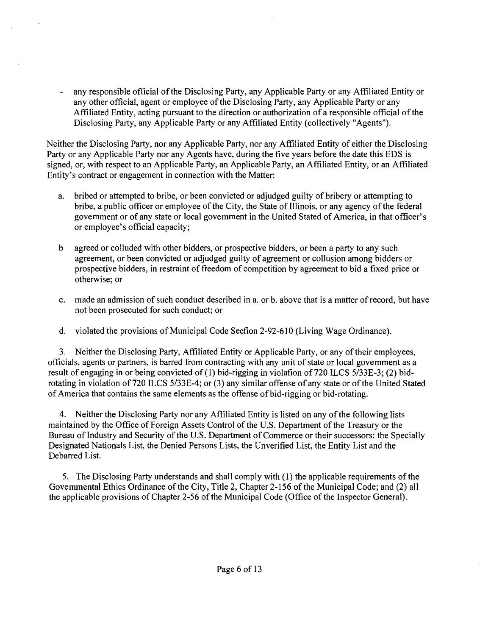- any responsible official of the Disclosing Party, any Applicable Party or any Affiliated Entity or any other official, agent or employee of the Disclosing Party, any Applicable Party or any Affiliated Entity, acting pursuant to the direction or authorization of a responsible official ofthe Disclosing Party, any Applicable Party or any Affiliated Entity (collectively "Agents").

Neither the Disclosing Party, nor any Applicable Party, nor any Affiliated Entity of either the Disclosing Party or any Applicable Party nor any Agents have, during the five years before the date this EDS is signed, or, with respect to an Applicable Party, an Applicable Party, an Affiliated Entity, or an Affiliated Entity's contract or engagement in connection with the Matter:

- a. bribed or attempted to bribe, or been convicted or adjudged guilty of bribery or attempting to bribe, a public officer or employee of the City, the State of Illinois, or any agency of the federal govemment or of any state or local govemment in the United Stated of America, in that officer's or employee's official capacity;
- b agreed or colluded with other bidders, or prospective bidders, or been a party to any such agreement, or been convicted or adjudged guilty of agreement or collusion among bidders or prospective bidders, in restraint of freedom of competition by agreement to bid a fixed price or otherwise; or
- c. made an admission of such conduct described in a. or b. above that is a matter of record, but have not been prosecuted for such conduct; or
- d. violated the provisions of Municipal Code Secfion 2-92-610 (Living Wage Ordinance).

3. Neither the Disclosing Party, Affiliated Entity or Applicable Party, or any of their employees, officials, agents or partners, is barred from contracting with any unit of state or local govemment as a result of engaging in or being convicted of (1) bid-rigging in violafion of 720 ILCS 5/33E-3; (2) bidrotating in violation of 720 ILCS 5/33E-4; or (3) any similar offense of any state or of the United Stated of America that contains the same elements as the offense of bid-rigging or bid-rotating.

4. Neither the Disclosing Party nor any Affiliated Entity is listed on any of the following lists maintained by the Office of Foreign Assets Control of the U.S. Department of the Treasury or the Bureau of Industry and Security of the U.S. Department of Commerce or their successors: the Specially Designated Nationals List, the Denied Persons Lists, the Unverified List, the Entity List and the Debarred List.

5. The Disclosing Party understands and shall comply with (1) the applicable requirements of the Govemmental Ethics Ordinance of the City, Title 2, Chapter 2-156 of the Municipal Code; and (2) all the applicable provisions of Chapter 2-56 of the Municipal Code (Office of the Inspector General).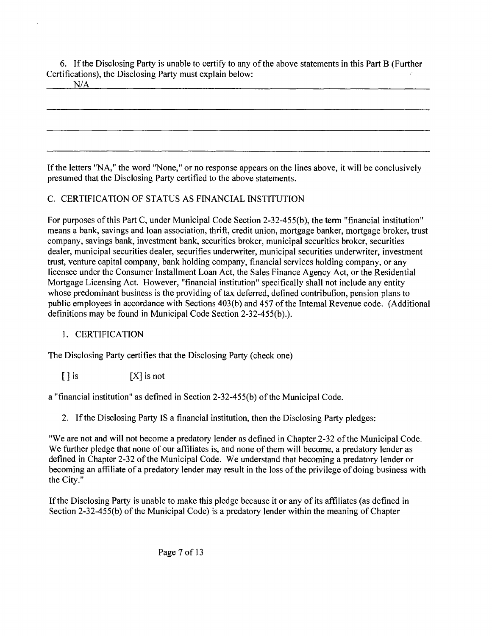6. If the Disclosing Party is unable to certify to any of the above statements in this Part B (Further Certifications), the Disclosing Party must explain below:

N/A

If the letters "NA," the word "None," or no response appears on the lines above, it will be conclusively presumed that the Disclosing Party certified to the above statements.

# C. CERTIFICATION OF STATUS AS FINANCIAL INSTITUTION

For purposes of this Part C, under Municipal Code Section 2-32-455(b), the term "financial institution" means a bank, savings and loan association, thrift, credit union, mortgage banker, mortgage broker, ttust company, savings bank, investment bank, securities broker, municipal securities broker, securities dealer, municipal securities dealer, securifies underwriter, municipal securities underwriter, investment trust, venture capital company, bank holding company, financial services holding company, or any licensee under the Consumer Installment Loan Act, the Sales Finance Agency Act, or the Residential Mortgage Licensing Act. However, "financial institution" specifically shall not include any entity whose predominant business is the providing of tax deferred, defined contribution, pension plans to public employees in accordance with Sections 403(b) and 457 of the Intemal Revenue code. (Additional definitions may be found in Municipal Code Section 2-32-455(b).).

# 1. CERTIFICATION

The Disclosing Party certifies that the Disclosing Party (check one)

[ ] is [X] is not

a "financial institution" as defmed in Section 2-32-455(b) ofthe Municipal Code.

2. Ifthe Disclosing Party IS a financial institution, then the Disclosing Party pledges:

"We are not and will not become a predatory lender as defined in Chapter 2-32 ofthe Municipal Code. We further pledge that none of our affiliates is, and none of them will become, a predatory lender as defined in Chapter 2-32 of the Municipal Code. We understand that becoming a predatory lender or becoming an affiliate of a predatory lender may result in the loss of the privilege of doing business with the City."

If the Disclosing Party is unable to make this pledge because it or any of its affiliates (as defined in Section 2-32-455(b) of the Municipal Code) is a predatory lender within the meaning of Chapter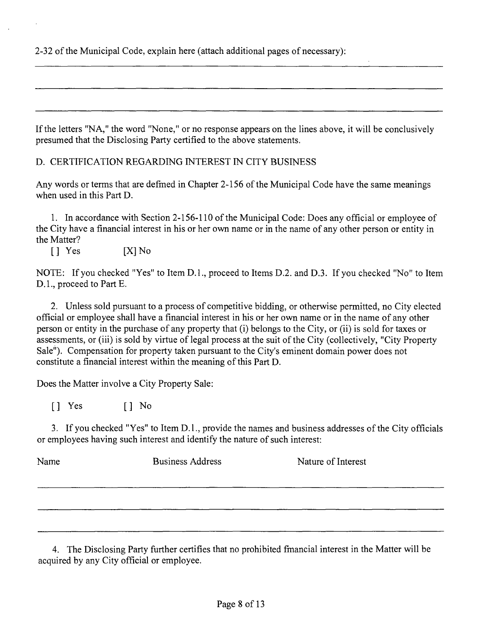2-32 of the Municipal Code, explain here (attach additional pages of necessary):

If the letters "NA," the word "None," or no response appears on the lines above, it will be conclusively presumed that the Disclosing Party certified to the above statements.

D. CERTIFICATION REGARDING INTEREST IN CITY BUSINESS

Any words or terms that are defmed in Chapter 2-156 of the Municipal Code have the same meanings when used in this Part D.

1. In accordance with Section 2-156-110 of the Municipal Code: Does any official or employee of the City have a financial interest in his or her own name or in the name of any other person or entity in the Matter?

[] Yes [X]No

NOTE: If you checked "Yes" to Item D.L, proceed to Items D.2. and D.3. If you checked "No" to Item D.1., proceed to Part E.

2. Unless sold pursuant to a process of competitive bidding, or otherwise permitted, no City elected official or employee shall have a financial interest in his or her own name or in the name of any other person or entity in the purchase of any property that (i) belongs to the City, or (ii) is sold for taxes or assessments, or (iii) is sold by virtue of legal process at the suit of the City (collectively, "City Property Sale"). Compensation for property taken pursuant to the City's eminent domain power does not constitute a financial interest within the meaning of this Part D.

Does the Matter involve a City Property Sale:

[] Yes [] No

3. If you checked "Yes" to Item D.l., provide the names and business addresses of the City officials or employees having such interest and identify the nature of such interest:

Name Business Address Nature of Interest

4. The Disclosing Party further certifies that no prohibited fmancial interest in the Matter will be acquired by any City official or employee.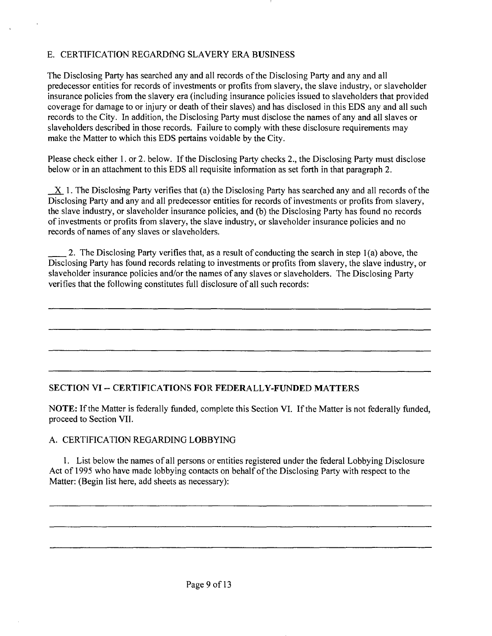# E. CERTIFICATION REGARDfNG SLAVERY ERA BUSINESS

The Disclosing Party has searched any and all records of the Disclosing Party and any and all predecessor entities for records of investments or profits from slavery, the slave industry, or slaveholder insurance policies from the slavery era (including insurance policies issued to slaveholders that provided coverage for damage to or injury or death of their slaves) and has disclosed in this EDS any and all such records to the City. In addition, the Disclosing Party must disclose the names of any and all slaves or slaveholders described in those records. Failure to comply with these disclosure requirements may make the Matter to which this EDS pertains voidable by the City.

Please check either 1. or 2. below. If the Disclosing Party checks 2., the Disclosing Party must disclose below or in an attachment to this EDS all requisite information as set forth in that paragraph 2.

 $X$  1. The Disclosing Party verifies that (a) the Disclosing Party has searched any and all records of the Disclosing Party and any and all predecessor entities for records of investments or profits from slavery, the slave industry, or slaveholder insurance policies, and (b) the Disclosing Party has found no records of investments or profits from slavery, the slave industry, or slaveholder insurance policies and no records of names of any slaves or slaveholders.

2. The Disclosing Party verifies that, as a result of conducting the search in step 1(a) above, the Disclosing Party has found records relating to investments or profits from slavery, the slave industry, or slaveholder insurance policies and/or the names of any slaves or slaveholders. The Disclosing Party verifies that the following constitutes full disclosure of all such records:

# **SECTION VI ~ CERTIFICATIONS FOR FEDERALLY-FUNDED MATTERS**

NOTE: If the Matter is federally funded, complete this Section VI. If the Matter is not federally funded, proceed to Section VII.

## A. CERTIFICATION REGARDING LOBBYING

1. List below the names of all persons or entities registered under the federal Lobbying Disclosure Act of 1995 who have made lobbying contacts on behalf of the Disclosing Party with respect to the Matter: (Begin list here, add sheets as necessary):

Page 9 of 13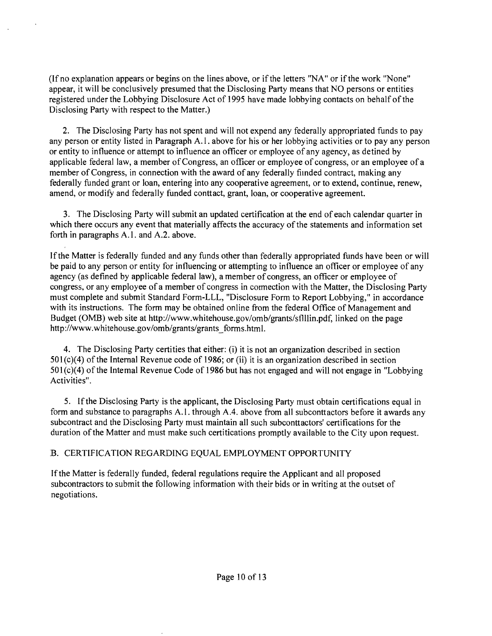(If no explanation appears or begins on the lines above, or if the letters "NA" or ifthe work "None" appear, it will be conclusively presumed that the Disclosing Party means that NO persons or entities registered under the Lobbying Disclosure Act of 1995 have made lobbying contacts on behalf of the Disclosing Party with respect to the Matter.)

2. The Disclosing Party has not spent and will not expend any federally appropriated funds to pay any person or entity listed in Paragraph A.l . above for his or her lobbying activities or to pay any person or entity to influence or attempt to influence an officer or employee of any agency, as defined by applicable federal law, a member of Congress, an officer or employee of congress, or an employee of a member of Congress, in connection with the award of any federally fiinded contract, making any federally funded grant or loan, entering into any cooperative agreement, or to extend, continue, renew, amend, or modify and federally funded conttact, grant, loan, or cooperative agreement.

3. The Disclosing Party will submit an updated certificafion at the end of each calendar quarter in which there occurs any event that materially affects the accuracy of the statements and information set forth in paragraphs A.1. and A.2. above.

Ifthe Matter is federally funded and any funds other than federally appropriated funds have been or will be paid to any person or entity for influencing or attempting to influence an officer or employee of any agency (as defined by applicable federal law), a member of congress, an officer or employee of congress, or any employee of a member of congress in cormecfion with the Matter, the Disclosing Party must complete and submit Standard Form-LLL, "Disclosure Form to Report Lobbying," in accordance with its instructions. The form may be obtained online from the federal Office of Management and Budget (0MB) web site at http://www.whitehouse.gov/omb/grants/sflllin.pdf, linked on the page http://www.whitehouse.gov/omb/grants/grants\_forms.html.

4. The Disclosing Party certifies that either: (i) it is not an organizafion described in section 501(c)(4) of the Internal Revenue code of 1986; or (ii) it is an organization described in section 501 (c)(4) of the Intemal Revenue Code of 1986 but has not engaged and will not engage in "Lobbying Activifies".

5. Ifthe Disclosing Party is the applicant, the Disclosing Party must obtain certifications equal in form and substance to paragraphs A.l . through A.4. above from all subconttactors before it awards any subcontract and the Disclosing Party must maintain all such subconttactors' certifications for the duration of the Matter and must make such certitications promptly available to the City upon request.

## B. CERTIFICATION REGARDING EQUAL EMPLOYMENT OPPORTUNITY

If the Matter is federally funded, federal regulations require the Applicant and all proposed subcontractors to submit the following information with their bids or in writing at the outset of negotiations.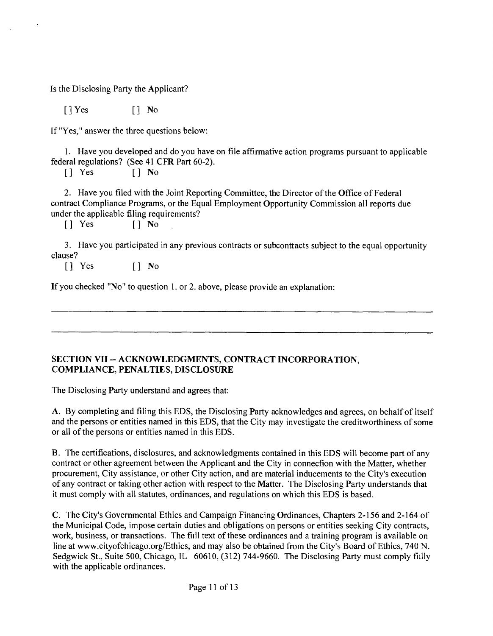Is the Disclosing Party the Applicant?

[]Yes [] No

If "Yes," answer the three questions below:

1. Have you developed and do you have on file affirmative action programs pursuant to applicable federal regulations? (See 41 CFR Part 60-2).

[] Yes [] No

2. Have you filed with the Joint Reporting Committee, the Director of the Office of Federal contract Compliance Programs, or the Equal Employment Opportunity Commission all reports due under the applicable filing requirements?

 $[$   $]$   $Yes$  ,  $[$   $]$   $No$ 

3. Have you participated in any previous contracts or subconttacts subject to the equal opportunity clause?

[] Yes [] No

If you checked "No" to question 1. or 2. above, please provide an explanation:

## SECTION VII -- ACKNOWLEDGMENTS, CONTRACT INCORPORATION, **COMPLIANCE, PENALTIES, DISCLOSURE**

The Disclosing Party understand and agrees that:

A. By completing and filing this EDS, the Disclosing Party acknowledges and agrees, on behalf of itself and the persons or entities named in this EDS, that the City may investigate the creditworthiness of some or all of the persons or entities named in this EDS.

B. The certifications, disclosures, and acknowledgments contained in this EDS will become part of any contract or other agreement between the Applicant and the City in connecfion with the Matter, whether procurement, City assistance, or other City action, and are material inducements to the City's execution of any contract or taking other action with respect to the Matter. The Disclosing Party understands that it must comply with all statutes, ordinances, and regulations on which this EDS is based.

C. The City's Governmental Ethics and Campaign Financing Ordinances, Chapters 2-156 and 2-164 of the Municipal Code, impose certain duties and obligations on persons or entities seeking City contracts, work, business, or transactions. The fill text of these ordinances and a training program is available on line at www.cityofchicago.org/Ethics, and may also be obtained from the City's Board of Ethics, 740 N. Sedgwick St., Suite 500, Chicago, IL 60610, (312) 744-9660. The Disclosing Party must comply fiilly with the applicable ordinances.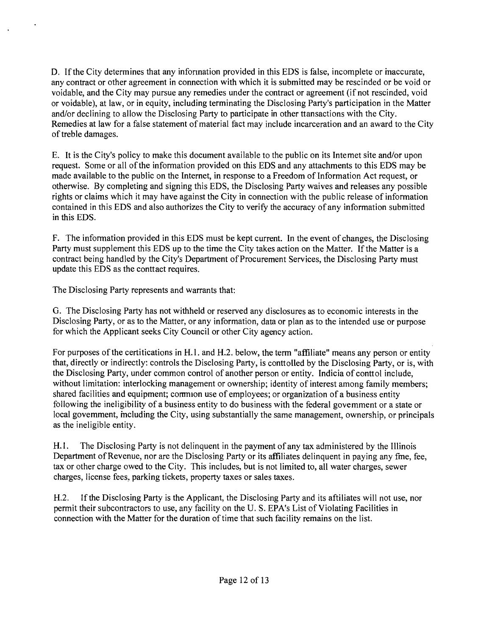D. Ifthe City determines that any infonnation provided in this EDS is false, incomplete or maccurate, any contract or other agreement in connection with which it is submitted may be rescinded or be void or voidable, and the City may pursue any remedies under the contract or agreement (if not rescinded, void or voidable), at law, or in equity, including terminating the Disclosing Party's participation in the Matter and/or declining to allow the Disclosing Party to participate in other ttansactions with the City. Remedies at law for a false statement of material fact may include incarceration and an award to the City of treble damages.

E. It is the City's policy to make this document available to the public on its Intemet site and/or upon request. Some or all of the information provided on this EDS and any attachments to this EDS may be made available to the public on the Internet, in response to a Freedom of Information Act request, or otherwise. By completing and signing this EDS, the Disclosing Party waives and releases any possible rights or claims which it may have against the City in connection with the public release of information contained in this EDS and also authorizes the City to verify the accuracy of any information submitted in this EDS.

F. The informafion provided in this EDS must be kept current. In the event of changes, the Disclosing Party must supplement this EDS up to the time the City takes action on the Matter. If the Matter is a contract being handled by the City's Department of Procurement Services, the Disclosing Party must update this EDS as the conttact requires.

The Disclosing Party represents and warrants that:

G. The Disclosing Party has not withheld or reserved any disclosures as to economic interests in the Disclosing Party, or as to the Matter, or any information, data or plan as to the intended use or purpose for which the Applicant seeks City Council or other City agency action.

For purposes of the certifications in H.l. and H.2. below, the term "affiliate" means any person or entity that, directly or indirectly: controls the Disclosing Party, is conttolled by the Disclosing Party, or is, with the Disclosing Party, under common control of another person or entity. Indicia of conttol include, without limitation: interlocking management or ownership; identity of interest among family members; shared facilities and equipment; corrmion use of employees; or organization of a business entity following the ineligibility of a business entity to do business with the federal govemment or a state or local govemment, mcluding the City, using substantially the same management, ownership, or principals as the ineligible entity.

H. I. The Disclosing Party is not delinquent in the payment of any tax administered by the Illinois Department of Revenue, nor are the Disclosing Party or its affiliates delinquent in paying any fme, fee, tax or other charge owed to the City. This includes, but is not limited to, all water charges, sewer charges, license fees, parking tickets, property taxes or sales taxes.

H,2, If the Disclosing Party is the Applicant, the Disclosing Party and its affiliates will not use, nor permit their subcontractors to use, any facility on the U. S. EPA's List of Violating Facilifies in connection with the Matter for the duration of time that such facility remains on the list.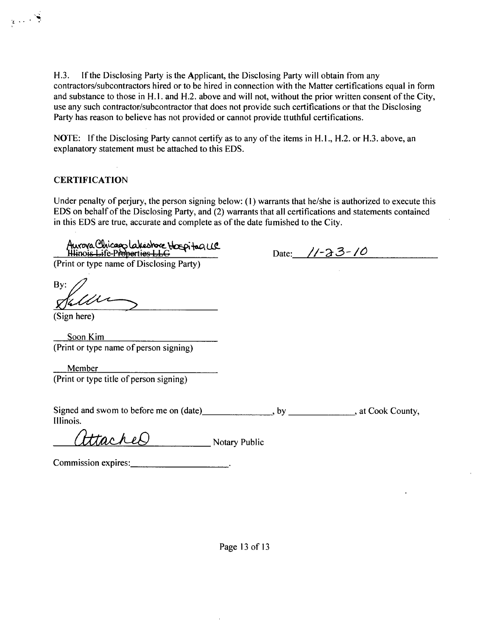H.3. If the Disclosing Party is the Applicant, the Disclosing Party will obtain from any contractors/subcontractors hired or to be hired in connection with the Matter certifications equal in form and substance to those in H.1. and H.2. above and will not, without the prior written consent of the City, use any such contractor/subcontractor that does not provide such certifications or that the Disclosing Party has reason to believe has not provided or cannot provide ttuthflil certifications.

NOTE: If the Disclosing Party cannot certify as to any of the items in H.1., H.2. or H.3. above, an explanatory statement must be attached to this EDS.

#### **CERTIFICATION**

 $\mathbb{R}^2$ 

Under penalty of perjury, the person signing below: (1) warrants that he/she is authorized to execute this EDS on behalf of the Disclosing Party, and (2) warrants that all certifications and statements contained in this EDS are true, accurate and complete as of the date fumished to the City.

Aurova Chicago Lakeshore Hospitagus<br><del>Illinois Life Proportios LLG</del> 2000 (Print or type name of Disclosing Party) Bv: (Sign here) Soon Kim (Print or type name of person signing) Member (Print or type title of person signing) Signed and swom to before me on (date) , by , by , at Cook County, Illinois. Htacheo Notary Public

Commission expires: No. 1996.

Page 13 of 13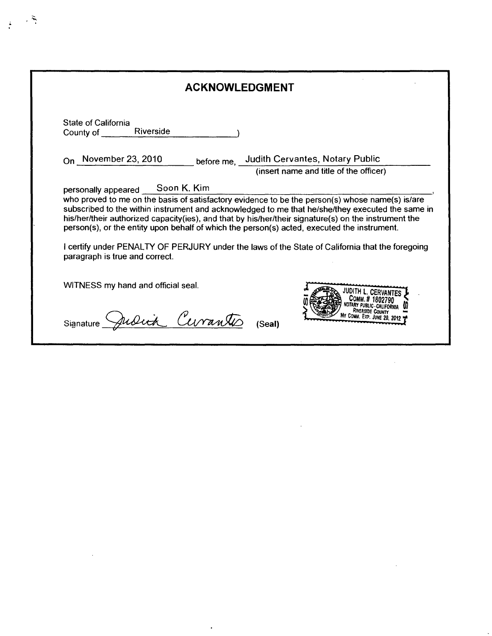| <b>ACKNOWLEDGMENT</b>                                |                                                                                                                                                                                                                                                                                                        |  |
|------------------------------------------------------|--------------------------------------------------------------------------------------------------------------------------------------------------------------------------------------------------------------------------------------------------------------------------------------------------------|--|
| <b>State of California</b><br>Riverside<br>County of |                                                                                                                                                                                                                                                                                                        |  |
| $_{\text{On}}$ November 23, 2010                     | before me, Judith Cervantes, Notary Public                                                                                                                                                                                                                                                             |  |
|                                                      | (insert name and title of the officer)                                                                                                                                                                                                                                                                 |  |
|                                                      | who proved to me on the basis of satisfactory evidence to be the person(s) whose name(s) is/are<br>subscribed to the within instrument and acknowledged to me that he/she/they executed the same in                                                                                                    |  |
| paragraph is true and correct.                       | his/her/their authorized capacity(ies), and that by his/her/their signature(s) on the instrument the<br>person(s), or the entity upon behalf of which the person(s) acted, executed the instrument.<br>I certify under PENALTY OF PERJURY under the laws of the State of California that the foregoing |  |
| WITNESS my hand and official seal.                   |                                                                                                                                                                                                                                                                                                        |  |

 $\sim 10^{-1}$ 

 $\label{eq:2.1} \frac{1}{\sqrt{2}}\int_{\mathbb{R}^3}\frac{1}{\sqrt{2}}\left(\frac{1}{\sqrt{2}}\right)^2\frac{1}{\sqrt{2}}\left(\frac{1}{\sqrt{2}}\right)^2\frac{1}{\sqrt{2}}\left(\frac{1}{\sqrt{2}}\right)^2\frac{1}{\sqrt{2}}\left(\frac{1}{\sqrt{2}}\right)^2.$ 

 $\label{eq:2.1} \frac{1}{\sqrt{2}}\int_{\mathbb{R}^3}\frac{1}{\sqrt{2}}\left(\frac{1}{\sqrt{2}}\right)^2\frac{1}{\sqrt{2}}\left(\frac{1}{\sqrt{2}}\right)^2\frac{1}{\sqrt{2}}\left(\frac{1}{\sqrt{2}}\right)^2\frac{1}{\sqrt{2}}\left(\frac{1}{\sqrt{2}}\right)^2.$ 

 $\frac{1}{2}$ 

 $\mathcal{L}^{\text{max}}_{\text{max}}$  and  $\mathcal{L}^{\text{max}}_{\text{max}}$ 

 $\ddot{\cdot}$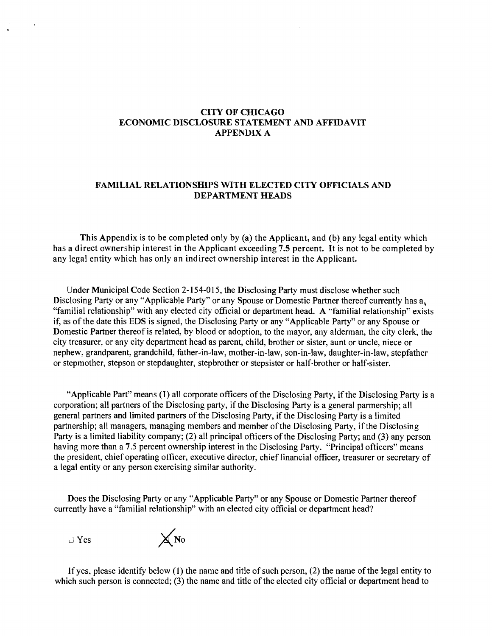#### **CITY OF CHICAGO ECONOMIC DISCLOSURE STATEMENT AND AFFIDAVIT APPENDIX A**

#### **FAMILIAL RELATIONSHIPS WITH ELECTED CITY OFFICIALS AND DEPARTMENT HEADS**

**This Appendix is to be completed only by (a) the Applicant, and (b) any legal entity which has a direct ownership interest in the Applicant exceeding 7.5 percent. It is not to be completed by any legal entity which has only an indirect ownership interest in the Applicant.** 

Under Municipal Code Secfion 2-154-015, the Disclosing Party must disclose whether such Disclosing Party or any "Applicable Party" or any Spouse or Domestic Partner thereof currently has a. "familial relationship" with any elected city official or department head. A "familial relationship" exists if, as of the date this EDS is signed, the Disclosing Party or any "Applicable Party" or any Spouse or Domestic Partner thereof is related, by blood or adoption, to the mayor, any alderman, the city clerk, the city treasurer, or any city department head as parent, child, brother or sister, aunt or uncle, niece or nephew, grandparent, grandchild, father-in-law, mother-in-law, son-in-law, daughter-in-law, stepfather or stepmother, stepson or stepdaughter, stepbrother or stepsister or half-brother or half-sister.

"Applicable Part" means (I) all corporate officers of the Disclosing Party, if the Disclosing Party is a corporation; all partners of the Disclosing party, if the Disclosing Party is a general parmership; all general partners and limited partners of the Disclosing Party, if the Disclosing Party is a limited partnership; all managers, managing members and member of the Disclosing Party, if the Disclosing Party is a limited liability company; (2) all principal officers of the Disclosing Party; and (3) any person having more than a 7.5 percent ownership interest in the Disclosing Party. "Principal officers" means the president, chief operating officer, executive director, chief financial officer, treasurer or secretary of a legal entity or any person exercising similar authority.

Does the Disclosing Party or any "Applicable Party" or any Spouse or Domestic Partner thereof currently have a "familial relationship" with an elected city official or department head?



If yes, please idenfify below (1) the name and title of such person, (2) the name of the legal entity to which such person is connected; (3) the name and title of the elected city official or department head to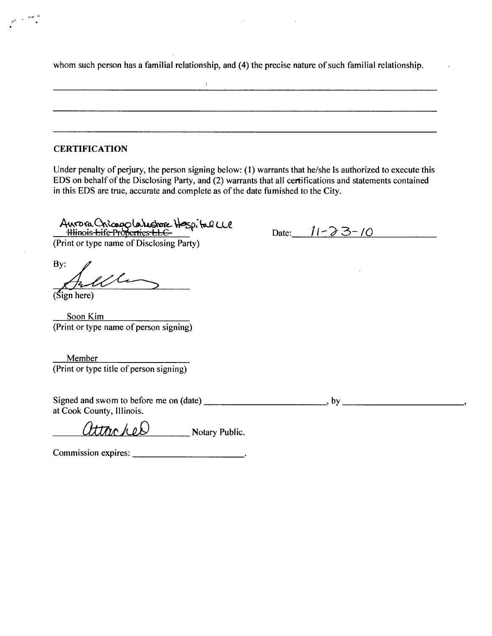whom such person has a familial relationship, and (4) the precise nature of such familial relationship.

 $\Lambda$ 

#### **CERTIFICATION**

Under penalty of perjury, the person signing below: (1) warrants that he/she Is authorized to execute this EDS on behalf of the Disclosing Party, and (2) warrants that all certifications and statements contained in this EDS are true, accurate and complete as of the date fumished to the City.

Auvora Chicagola lestore Hespital LLC

Date:  $11 - 23 - 10$ 

(Print or type name of Disclosing Party)

By:

(Sign here)

Soon Kim (Print or type name of person signing)

Member (Print or type title of person signing)

Signed and swom to before me on  $(data)$  , by  $by$  , by  $by$ at Cook County, Illinois.

attacher Notary Public.

Commission expires: \_\_\_\_\_\_\_\_\_\_\_\_\_\_\_\_\_\_\_\_\_\_\_\_\_\_\_.